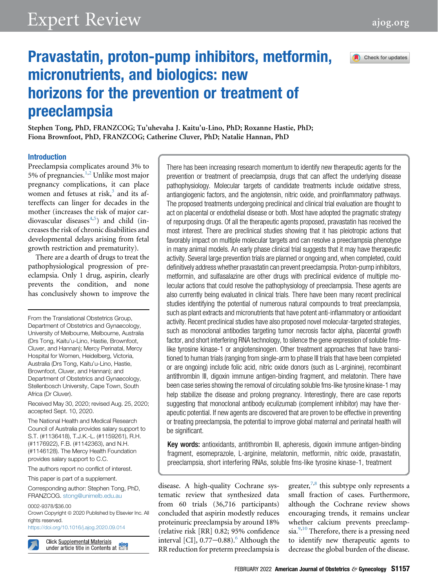

# Pravastatin, proton-pump inhibitors, metformin, micronutrients, and biologics: new horizons for the prevention or treatment of preeclampsia

Stephen Tong, PhD, FRANZCOG; Tu'uhevaha J. Kaitu'u-Lino, PhD; Roxanne Hastie, PhD; Fiona Brownfoot, PhD, FRANZCOG; Catherine Cluver, PhD; Natalie Hannan, PhD

#### Introduction

Preeclampsia complicates around 3% to 5% of pregnancies. $1,2$  $1,2$  $1,2$  Unlike most major pregnancy complications, it can place women and fetuses at risk, $3$  and its aftereffects can linger for decades in the mother (increases the risk of major car-diovascular diseases<sup>[4](#page-10-3)[,5](#page-10-4)</sup>) and child (increases the risk of chronic disabilities and developmental delays arising from fetal growth restriction and prematurity).

There are a dearth of drugs to treat the pathophysiological progression of preeclampsia. Only 1 drug, aspirin, clearly prevents the condition, and none has conclusively shown to improve the

From the Translational Obstetrics Group, Department of Obstetrics and Gynaecology, University of Melbourne, Melbourne, Australia (Drs Tong, Kaitu'u-Lino, Hastie, Brownfoot, Cluver, and Hannan); Mercy Perinatal, Mercy Hospital for Women, Heidelberg, Victoria, Australia (Drs Tong, Kaitu'u-Lino, Hastie, Brownfoot, Cluver, and Hannan); and Department of Obstetrics and Gynaecology, Stellenbosch University, Cape Town, South Africa (Dr Cluver).

Received May 30, 2020; revised Aug. 25, 2020; accepted Sept. 10, 2020.

The National Health and Medical Research Council of Australia provides salary support to S.T. (#1136418), T.J.K.-L. (#1159261), R.H. (#1176922), F.B. (#1142363), and N.H. (#1146128). The Mercy Health Foundation provides salary support to C.C.

The authors report no conflict of interest.

This paper is part of a supplement.

Corresponding author: Stephen Tong, PhD, FRANZCOG. [stong@unimelb.edu.au](mailto:stong@unimelb.edu.au)

0002-9378/\$36.00 Crown Copyright @ 2020 Published by Elsevier Inc. All rights reserved. <https://doi.org/10.1016/j.ajog.2020.09.014>

**Click Supplemental Materials** Click Supplemental Materials<br>under article title in Contents at Engl There has been increasing research momentum to identify new therapeutic agents for the prevention or treatment of preeclampsia, drugs that can affect the underlying disease pathophysiology. Molecular targets of candidate treatments include oxidative stress, antiangiogenic factors, and the angiotensin, nitric oxide, and proinflammatory pathways. The proposed treatments undergoing preclinical and clinical trial evaluation are thought to act on placental or endothelial disease or both. Most have adopted the pragmatic strategy of repurposing drugs. Of all the therapeutic agents proposed, pravastatin has received the most interest. There are preclinical studies showing that it has pleiotropic actions that favorably impact on multiple molecular targets and can resolve a preeclampsia phenotype in many animal models. An early phase clinical trial suggests that it may have therapeutic activity. Several large prevention trials are planned or ongoing and, when completed, could definitively address whether pravastatin can prevent preeclampsia. Proton-pump inhibitors, metformin, and sulfasalazine are other drugs with preclinical evidence of multiple molecular actions that could resolve the pathophysiology of preeclampsia. These agents are also currently being evaluated in clinical trials. There have been many recent preclinical studies identifying the potential of numerous natural compounds to treat preeclampsia, such as plant extracts and micronutrients that have potent anti-inflammatory or antioxidant activity. Recent preclinical studies have also proposed novel molecular-targeted strategies, such as monoclonal antibodies targeting tumor necrosis factor alpha, placental growth factor, and short interfering RNA technology, to silence the gene expression of soluble fmslike tyrosine kinase-1 or angiotensinogen. Other treatment approaches that have transitioned to human trials (ranging from single-arm to phase III trials that have been completed or are ongoing) include folic acid, nitric oxide donors (such as L-arginine), recombinant antithrombin III, digoxin immune antigen-binding fragment, and melatonin. There have been case series showing the removal of circulating soluble fms-like tyrosine kinase-1 may help stabilize the disease and prolong pregnancy. Interestingly, there are case reports suggesting that monoclonal antibody eculizumab (complement inhibitor) may have therapeutic potential. If new agents are discovered that are proven to be effective in preventing or treating preeclampsia, the potential to improve global maternal and perinatal health will be significant.

Key words: antioxidants, antithrombin III, apheresis, digoxin immune antigen-binding fragment, esomeprazole, L-arginine, melatonin, metformin, nitric oxide, pravastatin, preeclampsia, short interfering RNAs, soluble fms-like tyrosine kinase-1, treatment

disease. A high-quality Cochrane systematic review that synthesized data from 60 trials (36,716 participants) concluded that aspirin modestly reduces proteinuric preeclampsia by around 18% (relative risk [RR] 0.82; 95% confidence interval [CI],  $0.77-0.88$ .<sup>6</sup> Although the RR reduction for preterm preeclampsia is

greater,  $7,8$  $7,8$  this subtype only represents a small fraction of cases. Furthermore, although the Cochrane review shows encouraging trends, it remains unclear whether calcium prevents preeclampsia. $\frac{9,10}{9}$  $\frac{9,10}{9}$  $\frac{9,10}{9}$  Therefore, there is a pressing need to identify new therapeutic agents to decrease the global burden of the disease.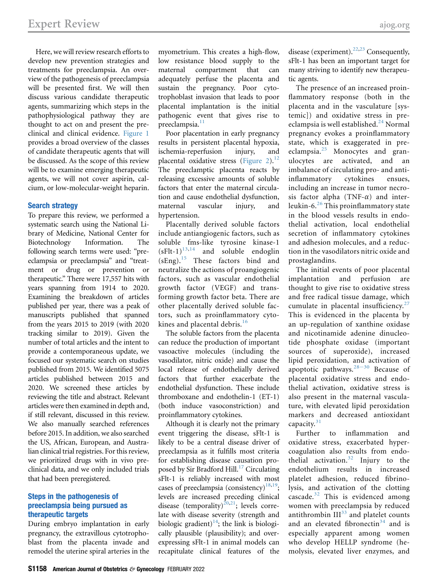Here, we will review research efforts to develop new prevention strategies and treatments for preeclampsia. An overview of the pathogenesis of preeclampsia will be presented first. We will then discuss various candidate therapeutic agents, summarizing which steps in the pathophysiological pathway they are thought to act on and present the preclinical and clinical evidence. [Figure 1](#page-2-0) provides a broad overview of the classes of candidate therapeutic agents that will be discussed. As the scope of this review will be to examine emerging therapeutic agents, we will not cover aspirin, calcium, or low-molecular-weight heparin.

#### Search strategy

To prepare this review, we performed a systematic search using the National Library of Medicine, National Center for Biotechnology Information. The following search terms were used: "preeclampsia or preeclampsia" and "treatment or drug or prevention or therapeutic." There were 17,557 hits with years spanning from 1914 to 2020. Examining the breakdown of articles published per year, there was a peak of manuscripts published that spanned from the years 2015 to 2019 (with 2020 tracking similar to 2019). Given the number of total articles and the intent to provide a contemporaneous update, we focused our systematic search on studies published from 2015. We identified 5075 articles published between 2015 and 2020. We screened these articles by reviewing the title and abstract. Relevant articles were then examined in depth and, if still relevant, discussed in this review. We also manually searched references before 2015. In addition, we also searched the US, African, European, and Australian clinical trial registries. For this review, we prioritized drugs with in vivo preclinical data, and we only included trials that had been preregistered.

## Steps in the pathogenesis of preeclampsia being pursued as therapeutic targets

During embryo implantation in early pregnancy, the extravillous cytotrophoblast from the placenta invade and remodel the uterine spiral arteries in the myometrium. This creates a high-flow, low resistance blood supply to the maternal compartment that can adequately perfuse the placenta and sustain the pregnancy. Poor cytotrophoblast invasion that leads to poor placental implantation is the initial pathogenic event that gives rise to preeclampsia.<sup>[11](#page-11-3)</sup>

Poor placentation in early pregnancy results in persistent placental hypoxia, ischemia-reperfusion injury, and placental oxidative stress [\(Figure 2](#page-3-0)).<sup>[12](#page-11-4)</sup> The preeclamptic placenta reacts by releasing excessive amounts of soluble factors that enter the maternal circulation and cause endothelial dysfunction, maternal vascular injury, and hypertension.

Placentally derived soluble factors include antiangiogenic factors, such as soluble fms-like tyrosine kinase-1  $(sFlt-1)^{13,14}$  $(sFlt-1)^{13,14}$  $(sFlt-1)^{13,14}$  $(sFlt-1)^{13,14}$  and soluble endoglin  $(sEng).$ <sup>[15](#page-11-7)</sup> These factors bind and neutralize the actions of proangiogenic factors, such as vascular endothelial growth factor (VEGF) and transforming growth factor beta. There are other placentally derived soluble factors, such as proinflammatory cyto-kines and placental debris.<sup>[16](#page-11-8)</sup>

The soluble factors from the placenta can reduce the production of important vasoactive molecules (including the vasodilator, nitric oxide) and cause the local release of endothelially derived factors that further exacerbate the endothelial dysfunction. These include thromboxane and endothelin-1 (ET-1) (both induce vasoconstriction) and proinflammatory cytokines.

Although it is clearly not the primary event triggering the disease, sFlt-1 is likely to be a central disease driver of preeclampsia as it fulfills most criteria for establishing disease causation pro-posed by Sir Bradford Hill.<sup>[17](#page-11-9)</sup> Circulating sFlt-1 is reliably increased with most cases of preeclampsia (consistency)<sup>[18](#page-11-10)[,19](#page-11-11)</sup>; levels are increased preceding clinical disease (temporality)<sup>[20](#page-11-12),[21](#page-11-13)</sup>; levels correlate with disease severity (strength and biologic gradient)<sup>14</sup>; the link is biologically plausible (plausibility); and overexpressing sFlt-1 in animal models can recapitulate clinical features of the

disease (experiment).<sup>[22](#page-11-14)[,23](#page-11-15)</sup> Consequently, sFlt-1 has been an important target for many striving to identify new therapeutic agents.

The presence of an increased proinflammatory response (both in the placenta and in the vasculature [systemic]) and oxidative stress in pre-eclampsia is well established.<sup>[24](#page-11-16)</sup> Normal pregnancy evokes a proinflammatory state, which is exaggerated in preeclampsia. $25$  Monocytes and granulocytes are activated, and an imbalance of circulating pro- and antiinflammatory cytokines ensues, including an increase in tumor necrosis factor alpha  $(TNF-\alpha)$  and interleukin-6. $26$  This proinflammatory state in the blood vessels results in endothelial activation, local endothelial secretion of inflammatory cytokines and adhesion molecules, and a reduction in the vasodilators nitric oxide and prostaglandins.

The initial events of poor placental implantation and perfusion are thought to give rise to oxidative stress and free radical tissue damage, which cumulate in placental insufficiency. $27$ This is evidenced in the placenta by an up-regulation of xanthine oxidase and nicotinamide adenine dinucleotide phosphate oxidase (important sources of superoxide), increased lipid peroxidation, and activation of apoptotic pathways. $28-30$  $28-30$  Because of placental oxidative stress and endothelial activation, oxidative stress is also present in the maternal vasculature, with elevated lipid peroxidation markers and decreased antioxidant capacity. $31$ 

Further to inflammation and oxidative stress, exacerbated hypercoagulation also results from endo-thelial activation.<sup>[32](#page-11-22)</sup> Injury to the endothelium results in increased platelet adhesion, reduced fibrinolysis, and activation of the clotting cascade. $32$  This is evidenced among women with preeclampsia by reduced antithrombin  $III^{33}$  $III^{33}$  $III^{33}$  and platelet counts and an elevated fibronectin<sup>[34](#page-11-24)</sup> and is especially apparent among women who develop HELLP syndrome (hemolysis, elevated liver enzymes, and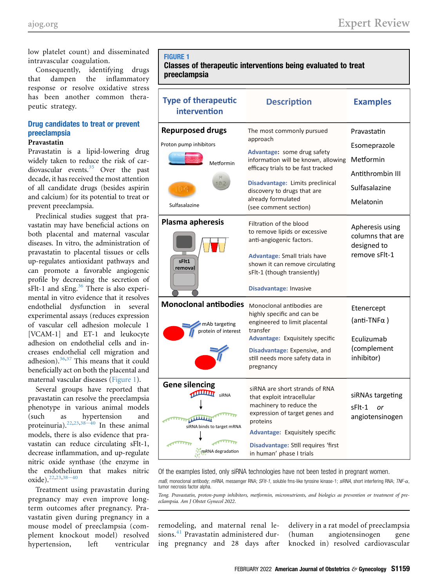low platelet count) and disseminated intravascular coagulation.

Consequently, identifying drugs that dampen the inflammatory response or resolve oxidative stress has been another common therapeutic strategy.

# Drug candidates to treat or prevent preeclampsia

## Pravastatin

Pravastatin is a lipid-lowering drug widely taken to reduce the risk of cardiovascular events.[35](#page-11-25) Over the past decade, it has received the most attention of all candidate drugs (besides aspirin and calcium) for its potential to treat or prevent preeclampsia.

Preclinical studies suggest that pravastatin may have beneficial actions on both placental and maternal vascular diseases. In vitro, the administration of pravastatin to placental tissues or cells up-regulates antioxidant pathways and can promote a favorable angiogenic profile by decreasing the secretion of  $sFlt-1$  and  $sEng.<sup>36</sup>$  $sEng.<sup>36</sup>$  $sEng.<sup>36</sup>$  There is also experimental in vitro evidence that it resolves endothelial dysfunction in several experimental assays (reduces expression of vascular cell adhesion molecule 1 [VCAM-1] and ET-1 and leukocyte adhesion on endothelial cells and increases endothelial cell migration and adhesion). $36,37$  $36,37$  This means that it could beneficially act on both the placental and maternal vascular diseases [\(Figure 1\)](#page-2-0).

Several groups have reported that pravastatin can resolve the preeclampsia phenotype in various animal models (such as hypertension and proteinuria).<sup>[22,](#page-11-14)[23,](#page-11-15)38-[40](#page-11-28)</sup> In these animal models, there is also evidence that pravastatin can reduce circulating sFlt-1, decrease inflammation, and up-regulate nitric oxide synthase (the enzyme in the endothelium that makes nitric oxide).<sup>[22,](#page-11-14)[23,](#page-11-15)[38](#page-11-28)-40</sup>

Treatment using pravastatin during pregnancy may even improve longterm outcomes after pregnancy. Pravastatin given during pregnancy in a mouse model of preeclampsia (complement knockout model) resolved hypertension, left ventricular

# <span id="page-2-0"></span>FIGURE 1

# Classes of therapeutic interventions being evaluated to treat preeclampsia

| <b>Type of therapeutic</b><br>intervention                                                                                    | <b>Description</b>                                                                                                                                                                                                                                                                                                              | <b>Examples</b>                                                                                               |
|-------------------------------------------------------------------------------------------------------------------------------|---------------------------------------------------------------------------------------------------------------------------------------------------------------------------------------------------------------------------------------------------------------------------------------------------------------------------------|---------------------------------------------------------------------------------------------------------------|
| <b>Repurposed drugs</b><br>Proton pump inhibitors<br>Metformin<br>Sulfasalazine<br>Plasma apheresis                           | The most commonly pursued<br>approach<br>Advantage: some drug safety<br>information will be known, allowing<br>efficacy trials to be fast tracked<br>Disadvantage: Limits preclinical<br>discovery to drugs that are<br>already formulated<br>(see comment section)<br>Filtration of the blood<br>to remove lipids or excessive | Pravastatin<br>Esomeprazole<br>Metformin<br>Antithrombin III<br>Sulfasalazine<br>Melatonin<br>Apheresis using |
| sFlt1<br>removal                                                                                                              | anti-angiogenic factors.<br>Advantage: Small trials have<br>shown it can remove circulating<br>sFlt-1 (though transiently)<br>Disadvantage: Invasive                                                                                                                                                                            | columns that are<br>designed to<br>remove sFlt-1                                                              |
| <b>Monoclonal antibodies</b><br>mAb targeting<br>protein of interest                                                          | Monoclonal antibodies are<br>highly specific and can be<br>engineered to limit placental<br>transfer<br>Advantage: Exquisitely specific<br>Disadvantage: Expensive, and<br>still needs more safety data in<br>pregnancy                                                                                                         | Etenercept<br>(anti-TNF $\alpha$ )<br><b>Fculizumab</b><br>(complement<br>inhibitor)                          |
| <b>Gene silencing</b><br><b>TULLUT</b><br>siRNA<br><b>THE REAL PROPERTY</b><br>siRNA binds to target mRNA<br>mRNA degradation | siRNA are short strands of RNA<br>that exploit intracellular<br>machinery to reduce the<br>expression of target genes and<br>proteins<br>Advantage: Exquisitely specific<br>Disadvantage: Still requires 'first<br>in human' phase I trials                                                                                     | siRNAs targeting<br>sFlt-1<br>or<br>angiotensinogen                                                           |

Of the examples listed, only siRNA technologies have not been tested in pregnant women.

maB, monoclonal antibody; mRNA, messenger RNA; SFIt-1, soluble fms-like tyrosine kinase-1; siRNA, short interfering RNA; TNF- $\alpha$ , tumor necrosis factor alpha.

Tong. Pravastatin, proton-pump inhibitors, metformin, micronutrients, and biologics as prevention or treatment of preeclampsia. Am J Obstet Gynecol 2022.

remodeling, and maternal renal le-sions.<sup>[41](#page-11-29)</sup> Pravastatin administered during pregnancy and 28 days after delivery in a rat model of preeclampsia (human angiotensinogen gene knocked in) resolved cardiovascular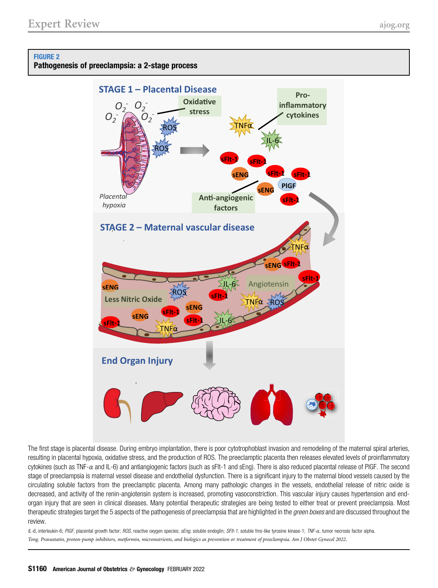# <span id="page-3-0"></span>FIGURE 2

Pathogenesis of preeclampsia: a 2-stage process



The first stage is placental disease. During embryo implantation, there is poor cytotrophoblast invasion and remodeling of the maternal spiral arteries, resulting in placental hypoxia, oxidative stress, and the production of ROS. The preeclamptic placenta then releases elevated levels of proinflammatory cytokines (such as TNF-a and IL-6) and antiangiogenic factors (such as sFlt-1 and sEng). There is also reduced placental release of PlGF. The second stage of preeclampsia is maternal vessel disease and endothelial dysfunction. There is a significant injury to the maternal blood vessels caused by the circulating soluble factors from the preeclamptic placenta. Among many pathologic changes in the vessels, endothelial release of nitric oxide is decreased, and activity of the renin-angiotensin system is increased, promoting vasoconstriction. This vascular injury causes hypertension and endorgan injury that are seen in clinical diseases. Many potential therapeutic strategies are being tested to either treat or prevent preeclampsia. Most therapeutic strategies target the 5 aspects of the pathogenesis of preeclampsia that are highlighted in the *green boxes* and are discussed throughout the review.

IL-6, interleukin-6; PIGF, placental growth factor; ROS, reactive oxygen species; sEng, soluble endoglin; SFIt-1, soluble fms-like tyrosine kinase-1; TNF-a, tumor necrosis factor alpha. Tong. Pravastatin, proton-pump inhibitors, metformin, micronutrients, and biologics as prevention or treatment of preeclampsia. Am J Obstet Gynecol 2022.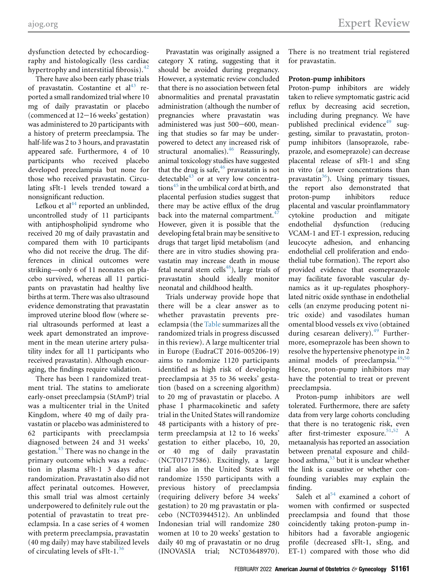dysfunction detected by echocardiography and histologically (less cardiac hypertrophy and interstitial fibrosis). $42$ 

There have also been early phase trials of pravastatin. Costantine et  $al<sup>43</sup>$  $al<sup>43</sup>$  $al<sup>43</sup>$  reported a small randomized trial where 10 mg of daily pravastatin or placebo (commenced at  $12-16$  weeks' gestation) was administered to 20 participants with a history of preterm preeclampsia. The half-life was 2 to 3 hours, and pravastatin appeared safe. Furthermore, 4 of 10 participants who received placebo developed preeclampsia but none for those who received pravastatin. Circulating sFlt-1 levels trended toward a nonsignificant reduction.

Lefkou et al<sup>[44](#page-11-32)</sup> reported an unblinded, uncontrolled study of 11 participants with antiphospholipid syndrome who received 20 mg of daily pravastatin and compared them with 10 participants who did not receive the drug. The differences in clinical outcomes were striking—only 6 of 11 neonates on placebo survived, whereas all 11 participants on pravastatin had healthy live births at term. There was also ultrasound evidence demonstrating that pravastatin improved uterine blood flow (where serial ultrasounds performed at least a week apart demonstrated an improvement in the mean uterine artery pulsatility index for all 11 participants who received pravastatin). Although encouraging, the findings require validation.

There has been 1 randomized treatment trial. The statins to ameliorate early-onset preeclampsia (StAmP) trial was a multicenter trial in the United Kingdom, where 40 mg of daily pravastatin or placebo was administered to 62 participants with preeclampsia diagnosed between 24 and 31 weeks' gestation.<sup>[45](#page-11-33)</sup> There was no change in the primary outcome which was a reduction in plasma sFlt-1 3 days after randomization. Pravastatin also did not affect perinatal outcomes. However, this small trial was almost certainly underpowered to definitely rule out the potential of pravastatin to treat preeclampsia. In a case series of 4 women with preterm preeclampsia, pravastatin (40 mg daily) may have stabilized levels of circulating levels of  $sFlt-1.^{36}$  $sFlt-1.^{36}$  $sFlt-1.^{36}$ 

Pravastatin was originally assigned a category X rating, suggesting that it should be avoided during pregnancy. However, a systematic review concluded that there is no association between fetal abnormalities and prenatal pravastatin administration (although the number of pregnancies where pravastatin was administered was just 500-600, meaning that studies so far may be underpowered to detect any increased risk of structural anomalies).<sup>[46](#page-11-34)</sup> Reassuringly, animal toxicology studies have suggested that the drug is safe,<sup>[46](#page-11-34)</sup> pravastatin is not detectable<sup>[43](#page-11-31)</sup> or at very low concentrations $45$  in the umbilical cord at birth, and placental perfusion studies suggest that there may be active efflux of the drug back into the maternal compartment.<sup>4</sup> However, given it is possible that the developing fetal brain may be sensitive to drugs that target lipid metabolism (and there are in vitro studies showing pravastatin may increase death in mouse fetal neural stem cells<sup>[48](#page-11-36)</sup>), large trials of pravastatin should ideally monitor neonatal and childhood health.

Trials underway provide hope that there will be a clear answer as to whether pravastatin prevents preeclampsia (the [Table](#page-6-0) summarizes all the randomized trials in progress discussed in this review). A large multicenter trial in Europe (EudraCT 2016-005206-19) aims to randomize 1120 participants identified as high risk of developing preeclampsia at 35 to 36 weeks' gestation (based on a screening algorithm) to 20 mg of pravastatin or placebo. A phase I pharmacokinetic and safety trial in the United States will randomize 48 participants with a history of preterm preeclampsia at 12 to 16 weeks' gestation to either placebo, 10, 20, or 40 mg of daily pravastatin (NCT01717586). Excitingly, a large trial also in the United States will randomize 1550 participants with a previous history of preeclampsia (requiring delivery before 34 weeks' gestation) to 20 mg pravastatin or placebo (NCT03944512). An unblinded Indonesian trial will randomize 280 women at 10 to 20 weeks' gestation to daily 40 mg of pravastatin or no drug (INOVASIA trial; NCT03648970).

There is no treatment trial registered for pravastatin.

## Proton-pump inhibitors

Proton-pump inhibitors are widely taken to relieve symptomatic gastric acid reflux by decreasing acid secretion, including during pregnancy. We have published preclinical evidence<sup>[49](#page-11-37)</sup> suggesting, similar to pravastatin, protonpump inhibitors (lansoprazole, rabeprazole, and esomeprazole) can decrease placental release of sFlt-1 and sEng in vitro (at lower concentrations than pravastatin $36$ ). Using primary tissues, the report also demonstrated that proton-pump inhibitors reduce placental and vascular proinflammatory cytokine production and mitigate endothelial dysfunction (reducing VCAM-1 and ET-1 expression, reducing leucocyte adhesion, and enhancing endothelial cell proliferation and endothelial tube formation). The report also provided evidence that esomeprazole may facilitate favorable vascular dynamics as it up-regulates phosphorylated nitric oxide synthase in endothelial cells (an enzyme producing potent nitric oxide) and vasodilates human omental blood vessels ex vivo (obtained during cesarean delivery). $49$  Furthermore, esomeprazole has been shown to resolve the hypertensive phenotype in 2 animal models of preeclampsia.<sup>[49,](#page-11-37)[50](#page-12-0)</sup> Hence, proton-pump inhibitors may have the potential to treat or prevent preeclampsia.

Proton-pump inhibitors are well tolerated. Furthermore, there are safety data from very large cohorts concluding that there is no teratogenic risk, even after first-trimester exposure.<sup>51,[52](#page-12-2)</sup> A metaanalysis has reported an association between prenatal exposure and childhood asthma, $53$  but it is unclear whether the link is causative or whether confounding variables may explain the finding.

Saleh et al $54$  examined a cohort of women with confirmed or suspected preeclampsia and found that those coincidently taking proton-pump inhibitors had a favorable angiogenic profile (decreased sFlt-1, sEng, and ET-1) compared with those who did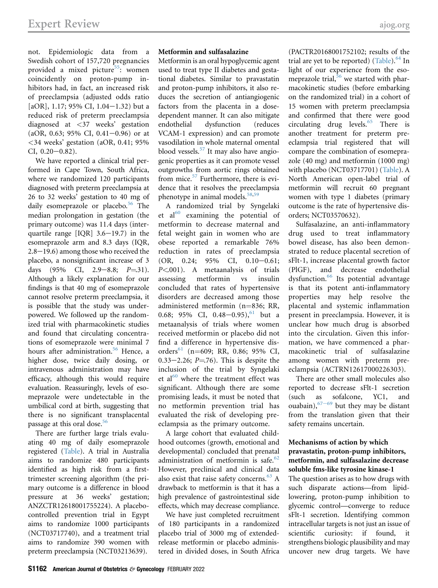not. Epidemiologic data from a Swedish cohort of 157,720 pregnancies provided a mixed picture<sup>55</sup>: women coincidently on proton-pump inhibitors had, in fact, an increased risk of preeclampsia (adjusted odds ratio [aOR], 1.17; 95% CI, 1.04-1.32) but a reduced risk of preterm preeclampsia diagnosed at <37 weeks' gestation  $(aOR, 0.63; 95\% \text{ CI}, 0.41-0.96)$  or at <34 weeks' gestation (aOR, 0.41; 95%  $CI, 0.20 - 0.82$ ).

We have reported a clinical trial performed in Cape Town, South Africa, where we randomized 120 participants diagnosed with preterm preeclampsia at 26 to 32 weeks' gestation to 40 mg of daily esomeprazole or placebo.<sup>[56](#page-12-6)</sup> The median prolongation in gestation (the primary outcome) was 11.4 days (interquartile range  $[IQR]$  3.6-19.7) in the esomeprazole arm and 8.3 days (IQR,  $2.8-19.6$ ) among those who received the placebo, a nonsignificant increase of 3 days  $(95\% \text{ CI}, 2.9-8.8; P=.31).$ Although a likely explanation for our findings is that 40 mg of esomeprazole cannot resolve preterm preeclampsia, it is possible that the study was underpowered. We followed up the randomized trial with pharmacokinetic studies and found that circulating concentrations of esomeprazole were minimal 7 hours after administration.<sup>[56](#page-12-6)</sup> Hence, a higher dose, twice daily dosing, or intravenous administration may have efficacy, although this would require evaluation. Reassuringly, levels of esomeprazole were undetectable in the umbilical cord at birth, suggesting that there is no significant transplacental passage at this oral dose.<sup>[56](#page-12-6)</sup>

There are further large trials evaluating 40 mg of daily esomeprazole registered ([Table](#page-6-0)). A trial in Australia aims to randomize 480 participants identified as high risk from a firsttrimester screening algorithm (the primary outcome is a difference in blood pressure at 36 weeks' gestation; ANZCTR12618001755224). A placebocontrolled prevention trial in Egypt aims to randomize 1000 participants (NCT03717740), and a treatment trial aims to randomize 390 women with preterm preeclampsia (NCT03213639).

## Metformin and sulfasalazine

Metformin is an oral hypoglycemic agent used to treat type II diabetes and gestational diabetes. Similar to pravastatin and proton-pump inhibitors, it also reduces the secretion of antiangiogenic factors from the placenta in a dosedependent manner. It can also mitigate endothelial dysfunction (reduces VCAM-1 expression) and can promote vasodilation in whole maternal omental blood vessels.[57](#page-12-7) It may also have angiogenic properties as it can promote vessel outgrowths from aortic rings obtained from mice. $57$  Furthermore, there is evidence that it resolves the preeclampsia phenotype in animal models.<sup>[58,](#page-12-8)[59](#page-12-9)</sup>

A randomized trial by Syngelaki et  $al<sup>60</sup>$  $al<sup>60</sup>$  $al<sup>60</sup>$  examining the potential of metformin to decrease maternal and fetal weight gain in women who are obese reported a remarkable 76% reduction in rates of preeclampsia  $(OR, 0.24; 95\% \text{ CI}, 0.10-0.61;$ P<.001). A metaanalysis of trials assessing metformin vs insulin concluded that rates of hypertensive disorders are decreased among those administered metformin  $(n=836; RR,$ 0.68; 95% CI, 0.48-0.95),<sup>[61](#page-12-11)</sup> but a metaanalysis of trials where women received metformin or placebo did not find a difference in hypertensive dis-orders<sup>[61](#page-12-11)</sup> (n=609; RR, 0.86; 95% CI, 0.33–2.26;  $P = 76$ ). This is despite the inclusion of the trial by Syngelaki et al $^{60}$  $^{60}$  $^{60}$  where the treatment effect was significant. Although there are some promising leads, it must be noted that no metformin prevention trial has evaluated the risk of developing preeclampsia as the primary outcome.

A large cohort that evaluated childhood outcomes (growth, emotional and developmental) concluded that prenatal administration of metformin is safe.<sup>[62](#page-12-12)</sup> However, preclinical and clinical data also exist that raise safety concerns.<sup>[63](#page-12-13)</sup> A drawback to metformin is that it has a high prevalence of gastrointestinal side effects, which may decrease compliance.

We have just completed recruitment of 180 participants in a randomized placebo trial of 3000 mg of extendedrelease metformin or placebo administered in divided doses, in South Africa

(PACTR20168001752102; results of the trial are yet to be reported) [\(Table](#page-6-0)).  $64$  In light of our experience from the esomeprazole trial, $56$  we started with pharmacokinetic studies (before embarking on the randomized trial) in a cohort of 15 women with preterm preeclampsia and confirmed that there were good circulating drug levels.[65](#page-12-15) There is another treatment for preterm preeclampsia trial registered that will compare the combination of esomeprazole (40 mg) and metformin (1000 mg) with placebo (NCT03717701) [\(Table\)](#page-6-0). A North American open-label trial of metformin will recruit 60 pregnant women with type 1 diabetes (primary outcome is the rate of hypertensive disorders; NCT03570632).

Sulfasalazine, an anti-inflammatory drug used to treat inflammatory bowel disease, has also been demonstrated to reduce placental secretion of sFlt-1, increase placental growth factor (PlGF), and decrease endothelial dysfunction.<sup>[66](#page-12-16)</sup> Its potential advantage is that its potent anti-inflammatory properties may help resolve the placental and systemic inflammation present in preeclampsia. However, it is unclear how much drug is absorbed into the circulation. Given this information, we have commenced a pharmacokinetic trial of sulfasalazine among women with preterm preeclampsia (ACTRN12617000226303).

There are other small molecules also reported to decrease sFlt-1 secretion (such as sofalcone, YC1, and ouabain),  $67-69$  $67-69$  but they may be distant from the translation given that their safety remains uncertain.

#### Mechanisms of action by which pravastatin, proton-pump inhibitors, metformin, and sulfasalazine decrease soluble fms-like tyrosine kinase-1

The question arises as to how drugs with such disparate actions—from lipidlowering, proton-pump inhibition to glycemic control—converge to reduce sFlt-1 secretion. Identifying common intracellular targets is not just an issue of scientific curiosity: if found, it strengthens biologic plausibility and may uncover new drug targets. We have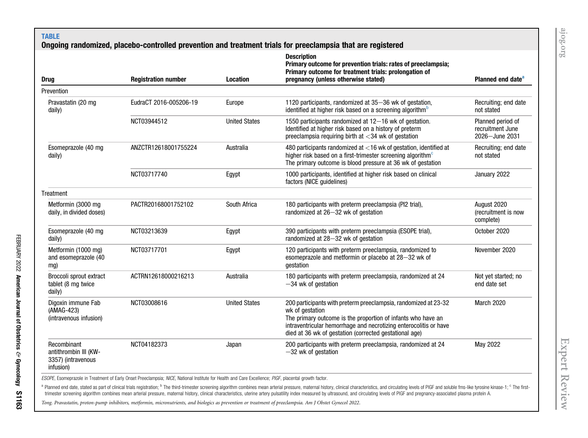# TABLE

# Ongoing randomized, placebo-controlled prevention and treatment trials for preeclampsia that are registered

<span id="page-6-0"></span>

| <b>Drug</b>                                                             | <b>Registration number</b> | <b>Location</b>      | <b>Description</b><br>Primary outcome for prevention trials: rates of preeclampsia;<br>Primary outcome for treatment trials: prolongation of<br>pregnancy (unless otherwise stated)                                                                                               | Planned end date <sup>a</sup>                           |
|-------------------------------------------------------------------------|----------------------------|----------------------|-----------------------------------------------------------------------------------------------------------------------------------------------------------------------------------------------------------------------------------------------------------------------------------|---------------------------------------------------------|
| Prevention                                                              |                            |                      |                                                                                                                                                                                                                                                                                   |                                                         |
| Pravastatin (20 mg<br>daily)                                            | EudraCT 2016-005206-19     | Europe               | 1120 participants, randomized at 35-36 wk of gestation,<br>identified at higher risk based on a screening algorithm <sup>b</sup>                                                                                                                                                  | Recruiting; end date<br>not stated                      |
|                                                                         | NCT03944512                | <b>United States</b> | 1550 participants randomized at 12-16 wk of gestation.<br>Identified at higher risk based on a history of preterm<br>preeclampsia requiring birth at $<$ 34 wk of gestation                                                                                                       | Planned period of<br>recruitment June<br>2026-June 2031 |
| Esomeprazole (40 mg<br>daily)                                           | ANZCTR12618001755224       | Australia            | 480 participants randomized at $<$ 16 wk of gestation, identified at<br>higher risk based on a first-trimester screening algorithm <sup>c</sup><br>The primary outcome is blood pressure at 36 wk of gestation                                                                    | Recruiting; end date<br>not stated                      |
|                                                                         | NCT03717740                | Egypt                | 1000 participants, identified at higher risk based on clinical<br>factors (NICE guidelines)                                                                                                                                                                                       | January 2022                                            |
| Treatment                                                               |                            |                      |                                                                                                                                                                                                                                                                                   |                                                         |
| Metformin (3000 mg<br>daily, in divided doses)                          | PACTR20168001752102        | South Africa         | 180 participants with preterm preeclampsia (PI2 trial),<br>randomized at 26-32 wk of gestation                                                                                                                                                                                    | August 2020<br>(recruitment is now<br>complete)         |
| Esomeprazole (40 mg<br>daily)                                           | NCT03213639                | Egypt                | 390 participants with preterm preeclampsia (ESOPE trial),<br>randomized at 28-32 wk of gestation                                                                                                                                                                                  | October 2020                                            |
| Metformin (1000 mg)<br>and esomeprazole (40<br>mg)                      | NCT03717701                | Egypt                | 120 participants with preterm preeclampsia, randomized to<br>esomeprazole and metformin or placebo at 28-32 wk of<br>qestation                                                                                                                                                    | November 2020                                           |
| Broccoli sprout extract<br>tablet (8 mg twice<br>daily)                 | ACTRN12618000216213        | Australia            | 180 participants with preterm preeclampsia, randomized at 24<br>$-34$ wk of gestation                                                                                                                                                                                             | Not yet started; no<br>end date set                     |
| Digoxin immune Fab<br>(AMAG-423)<br>(intravenous infusion)              | NCT03008616                | <b>United States</b> | 200 participants with preterm preeclampsia, randomized at 23-32<br>wk of gestation<br>The primary outcome is the proportion of infants who have an<br>intraventricular hemorrhage and necrotizing enterocolitis or have<br>died at 36 wk of gestation (corrected gestational age) | March 2020                                              |
| Recombinant<br>antithrombin III (KW-<br>3357) (intravenous<br>infusion) | NCT04182373                | Japan                | 200 participants with preterm preeclampsia, randomized at 24<br>$-32$ wk of gestation                                                                                                                                                                                             | May 2022                                                |

ESOPE, Esomeprazole in Treatment of Early Onset Preeclampsia; NICE, National Institute for Health and Care Excellence; PIGF, placental growth factor.

<span id="page-6-1"></span><sup>a</sup> Planned end date, stated as part of clinical trials registration; <sup>b</sup> The third-trimester screening algorithm combines mean arterial pressure, maternal history, clinical characteristics, and circulating levels of PIGF trimester screening algorithm combines mean arterial pressure, maternal history, clinical characteristics, uterine artery pulsatility index measured by ultrasound, and circulating levels of PIGF and pregnancy-associated pl

Tong. Pravastatin, proton-pump inhibitors, metformin, micronutrients, and biologics as prevention or treatment of preeclampsia. Am J Obstet Gynecol <sup>2022</sup>.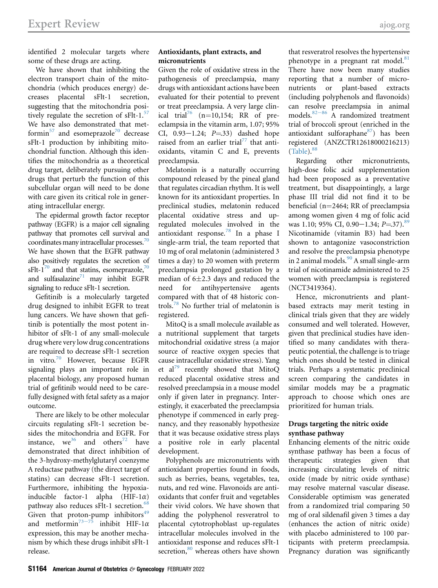identified 2 molecular targets where some of these drugs are acting.

We have shown that inhibiting the electron transport chain of the mitochondria (which produces energy) decreases placental sFlt-1 secretion, suggesting that the mitochondria positively regulate the secretion of  $sFlt-1$ .<sup>57</sup> We have also demonstrated that met-formin<sup>[57](#page-12-7)</sup> and esomeprazole<sup>[70](#page-12-18)</sup> decrease sFlt-1 production by inhibiting mitochondrial function. Although this identifies the mitochondria as a theoretical drug target, deliberately pursuing other drugs that perturb the function of this subcellular organ will need to be done with care given its critical role in generating intracellular energy.

The epidermal growth factor receptor pathway (EGFR) is a major cell signaling pathway that promotes cell survival and coordinates many intracellular processes. $70$ We have shown that the EGFR pathway also positively regulates the secretion of sFlt-1<sup>70</sup> and that statins, esomeprazole,<sup>70</sup> and sulfasalazine $^{71}$  $^{71}$  $^{71}$  may inhibit EGFR signaling to reduce sFlt-1 secretion.

Gefitinib is a molecularly targeted drug designed to inhibit EGFR to treat lung cancers. We have shown that gefitinib is potentially the most potent inhibitor of sFlt-1 of any small-molecule drug where very low drug concentrations are required to decrease sFlt-1 secretion in vitro.<sup>[70](#page-12-18)</sup> However, because EGFR signaling plays an important role in placental biology, any proposed human trial of gefitinib would need to be carefully designed with fetal safety as a major outcome.

There are likely to be other molecular circuits regulating sFlt-1 secretion besides the mitochondria and EGFR. For instance, we<sup>36</sup> and others<sup>[72](#page-12-20)</sup> have demonstrated that direct inhibition of the 3-hydroxy-methylglutaryl coenzyme A reductase pathway (the direct target of statins) can decrease sFlt-1 secretion. Furthermore, inhibiting the hypoxiainducible factor-1 alpha  $(HIF-1\alpha)$ pathway also reduces sFlt-1 secretion.<sup>[68](#page-12-21)</sup> Given that proton-pump inhibitors $49$ and metformin<sup>[73](#page-12-22)-75</sup> inhibit HIF-1 $\alpha$ expression, this may be another mechanism by which these drugs inhibit sFlt-1 release.

## Antioxidants, plant extracts, and micronutrients

Given the role of oxidative stress in the pathogenesis of preeclampsia, many drugs with antioxidant actions have been evaluated for their potential to prevent or treat preeclampsia. A very large clin-ical trial<sup>[76](#page-12-23)</sup> (n=10,154; RR of preeclampsia in the vitamin arm, 1.07; 95% CI,  $0.93-1.24$ ;  $P = 33$ ) dashed hope raised from an earlier trial<sup>[77](#page-12-24)</sup> that antioxidants, vitamin C and E, prevents preeclampsia.

Melatonin is a naturally occurring compound released by the pineal gland that regulates circadian rhythm. It is well known for its antioxidant properties. In preclinical studies, melatonin reduced placental oxidative stress and upregulated molecules involved in the antioxidant response.[78](#page-12-25) In a phase I single-arm trial, the team reported that 10 mg of oral melatonin (administered 3 times a day) to 20 women with preterm preeclampsia prolonged gestation by a median of  $6\pm2.3$  days and reduced the need for antihypertensive agents compared with that of 48 historic controls.[78](#page-12-25) No further trial of melatonin is registered.

MitoQ is a small molecule available as a nutritional supplement that targets mitochondrial oxidative stress (a major source of reactive oxygen species that cause intracellular oxidative stress). Yang et al<sup>[79](#page-12-26)</sup> recently showed that MitoQ reduced placental oxidative stress and resolved preeclampsia in a mouse model only if given later in pregnancy. Interestingly, it exacerbated the preeclampsia phenotype if commenced in early pregnancy, and they reasonably hypothesize that it was because oxidative stress plays a positive role in early placental development.

Polyphenols are micronutrients with antioxidant properties found in foods, such as berries, beans, vegetables, tea, nuts, and red wine. Flavonoids are antioxidants that confer fruit and vegetables their vivid colors. We have shown that adding the polyphenol resveratrol to placental cytotrophoblast up-regulates intracellular molecules involved in the antioxidant response and reduces sFlt-1 secretion,<sup>[80](#page-12-27)</sup> whereas others have shown

that resveratrol resolves the hypertensive phenotype in a pregnant rat model. $81$ There have now been many studies reporting that a number of micronutrients or plant-based extracts (including polyphenols and flavonoids) can resolve preeclampsia in animal models. $82-86$  $82-86$  A randomized treatment trial of broccoli sprout (enriched in the antioxidant sulforaphane $87$ ) has been registered (ANZCTR12618000216213)  $(Table)$ .  $88$ 

Regarding other micronutrients, high-dose folic acid supplementation had been proposed as a preventative treatment, but disappointingly, a large phase III trial did not find it to be beneficial (n=2464; RR of preeclampsia among women given 4 mg of folic acid was 1.10; 95% CI, 0.90 $-1.34$ ; P=.37).<sup>[89](#page-12-32)</sup> Nicotinamide (vitamin B3) had been shown to antagonize vasoconstriction and resolve the preeclampsia phenotype in 2 animal models. $90$  A small single-arm trial of nicotinamide administered to 25 women with preeclampsia is registered (NCT3419364).

Hence, micronutrients and plantbased extracts may merit testing in clinical trials given that they are widely consumed and well tolerated. However, given that preclinical studies have identified so many candidates with therapeutic potential, the challenge is to triage which ones should be tested in clinical trials. Perhaps a systematic preclinical screen comparing the candidates in similar models may be a pragmatic approach to choose which ones are prioritized for human trials.

#### Drugs targeting the nitric oxide synthase pathway

Enhancing elements of the nitric oxide synthase pathway has been a focus of therapeutic strategies given that increasing circulating levels of nitric oxide (made by nitric oxide synthase) may resolve maternal vascular disease. Considerable optimism was generated from a randomized trial comparing 50 mg of oral sildenafil given 3 times a day (enhances the action of nitric oxide) with placebo administered to 100 participants with preterm preeclampsia. Pregnancy duration was significantly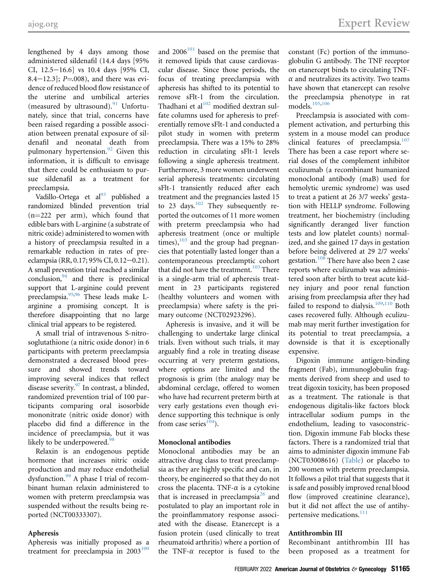and  $\frac{1}{2}$  . The contract  $\frac{1}{2}$  and  $\frac{1}{2}$  are viewed Reviewed Reviewed Reviewed Reviewed Reviewed Reviewed Reviewed Reviewed Reviewed Reviewed Reviewed Reviewed Reviewed Reviewed Reviewed Reviewed Reviewed Revi

lengthened by 4 days among those administered sildenafil (14.4 days [95% CI, 12.5-16.6] vs 10.4 days [95% CI, 8.4 $-12.3$ ]; P=.008), and there was evidence of reduced blood flow resistance of the uterine and umbilical arteries (measured by ultrasound). $91$  Unfortunately, since that trial, concerns have been raised regarding a possible association between prenatal exposure of sildenafil and neonatal death from pulmonary hypertension. $92$  Given this information, it is difficult to envisage that there could be enthusiasm to pursue sildenafil as a treatment for preeclampsia.

Vadillo-Ortega et al<sup>93</sup> published a randomized blinded prevention trial  $(n=222$  per arm), which found that edible bars with L-arginine (a substrate of nitric oxide) administered to women with a history of preeclampsia resulted in a remarkable reduction in rates of preeclampsia (RR, 0.17; 95% CI, 0.12-0.21). A small prevention trial reached a similar  $conclusion, <sup>94</sup>$  and there is preclinical support that L-arginine could prevent preeclampsia.<sup>[95](#page-13-3)[,96](#page-13-4)</sup> These leads make Larginine a promising concept. It is therefore disappointing that no large clinical trial appears to be registered.

A small trial of intravenous S-nitrosoglutathione (a nitric oxide donor) in 6 participants with preterm preeclampsia demonstrated a decreased blood pressure and showed trends toward improving several indices that reflect disease severity.<sup>[97](#page-13-5)</sup> In contrast, a blinded, randomized prevention trial of 100 participants comparing oral isosorbide mononitrate (nitric oxide donor) with placebo did find a difference in the incidence of preeclampsia, but it was likely to be underpowered.<sup>[98](#page-13-6)</sup>

Relaxin is an endogenous peptide hormone that increases nitric oxide production and may reduce endothelial dysfunction.[99](#page-13-7) A phase I trial of recombinant human relaxin administered to women with preterm preeclampsia was suspended without the results being reported (NCT00333307).

#### Apheresis

Apheresis was initially proposed as a treatment for preeclampsia in  $2003^{100}$  $2003^{100}$  $2003^{100}$  and  $2006^{101}$  $2006^{101}$  $2006^{101}$  based on the premise that it removed lipids that cause cardiovascular disease. Since those periods, the focus of treating preeclampsia with apheresis has shifted to its potential to remove sFlt-1 from the circulation. Thadhani et al $102$  modified dextran sulfate columns used for apheresis to preferentially remove sFlt-1 and conducted a pilot study in women with preterm preeclampsia. There was a 15% to 28% reduction in circulating sFlt-1 levels following a single apheresis treatment. Furthermore, 3 more women underwent serial apheresis treatments: circulating sFlt-1 transiently reduced after each treatment and the pregnancies lasted 15 to 23 days.<sup>102</sup> They subsequently reported the outcomes of 11 more women with preterm preeclampsia who had apheresis treatment (once or multiple times), $103$  and the group had pregnancies that potentially lasted longer than a contemporaneous preeclamptic cohort that did not have the treatment.<sup>[103](#page-13-11)</sup> There is a single-arm trial of apheresis treatment in 23 participants registered (healthy volunteers and women with preeclampsia) where safety is the primary outcome (NCT02923296).

Apheresis is invasive, and it will be challenging to undertake large clinical trials. Even without such trials, it may arguably find a role in treating disease occurring at very preterm gestations, where options are limited and the prognosis is grim (the analogy may be abdominal cerclage, offered to women who have had recurrent preterm birth at very early gestations even though evidence supporting this technique is only from case series $104$ ).

#### Monoclonal antibodies

Monoclonal antibodies may be an attractive drug class to treat preeclampsia as they are highly specific and can, in theory, be engineered so that they do not cross the placenta. TNF- $\alpha$  is a cytokine that is increased in preeclampsia<sup>[26](#page-11-18)</sup> and postulated to play an important role in the proinflammatory response associated with the disease. Etanercept is a fusion protein (used clinically to treat rheumatoid arthritis) where a portion of the TNF- $\alpha$  receptor is fused to the

constant (Fc) portion of the immunoglobulin G antibody. The TNF receptor on etanercept binds to circulating TNF- $\alpha$  and neutralizes its activity. Two teams have shown that etanercept can resolve the preeclampsia phenotype in rat models.[105](#page-13-13)[,106](#page-13-14)

Preeclampsia is associated with complement activation, and perturbing this system in a mouse model can produce clinical features of preeclampsia.<sup>[107](#page-13-15)</sup> There has been a case report where serial doses of the complement inhibitor eculizumab (a recombinant humanized monoclonal antibody (maB) used for hemolytic uremic syndrome) was used to treat a patient at 26 3/7 weeks' gestation with HELLP syndrome. Following treatment, her biochemistry (including significantly deranged liver function tests and low platelet counts) normalized, and she gained 17 days in gestation before being delivered at 29 2/7 weeks' gestation.<sup>[108](#page-13-16)</sup> There have also been 2 case reports where eculizumab was administered soon after birth to treat acute kidney injury and poor renal function arising from preeclampsia after they had failed to respond to dialysis.<sup>[109](#page-13-17),[110](#page-13-18)</sup> Both cases recovered fully. Although eculizumab may merit further investigation for its potential to treat preeclampsia, a downside is that it is exceptionally expensive.

Digoxin immune antigen-binding fragment (Fab), immunoglobulin fragments derived from sheep and used to treat digoxin toxicity, has been proposed as a treatment. The rationale is that endogenous digitalis-like factors block intracellular sodium pumps in the endothelium, leading to vasoconstriction. Digoxin immune Fab blocks these factors. There is a randomized trial that aims to administer digoxin immune Fab (NCT03008616) [\(Table\)](#page-6-0) or placebo to 200 women with preterm preeclampsia. It follows a pilot trial that suggests that it is safe and possibly improved renal blood flow (improved creatinine clearance), but it did not affect the use of antihy-pertensive medications.<sup>[111](#page-13-19)</sup>

#### Antithrombin III

Recombinant antithrombin III has been proposed as a treatment for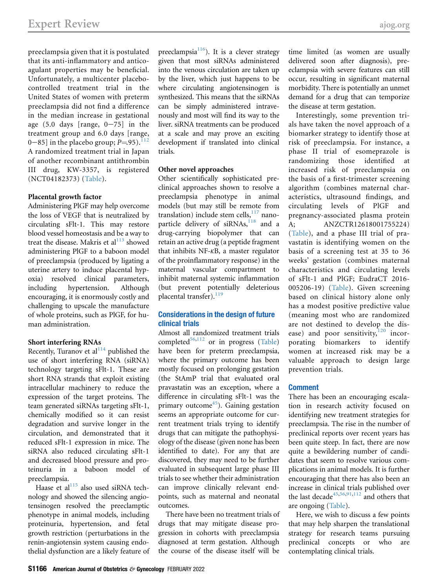preeclampsia given that it is postulated that its anti-inflammatory and anticoagulant properties may be beneficial. Unfortunately, a multicenter placebocontrolled treatment trial in the United States of women with preterm preeclampsia did not find a difference in the median increase in gestational age  $(5.0 \text{ days}$  [range,  $0-75$ ] in the treatment group and 6.0 days [range, 0–85] in the placebo group;  $P=95$ ).<sup>11</sup> A randomized treatment trial in Japan of another recombinant antithrombin III drug, KW-3357, is registered (NCT04182373) [\(Table\)](#page-6-0).

#### Placental growth factor

Administering PlGF may help overcome the loss of VEGF that is neutralized by circulating sFlt-1. This may restore blood vessel homeostasis and be a way to treat the disease. Makris et  $al<sup>113</sup>$  $al<sup>113</sup>$  $al<sup>113</sup>$  showed administering PlGF to a baboon model of preeclampsia (produced by ligating a uterine artery to induce placental hypoxia) resolved clinical parameters, including hypertension. Although encouraging, it is enormously costly and challenging to upscale the manufacture of whole proteins, such as PlGF, for human administration.

#### Short interfering RNAs

Recently, Turanov et  $al<sup>114</sup>$  $al<sup>114</sup>$  $al<sup>114</sup>$  published the use of short interfering RNA (siRNA) technology targeting sFlt-1. These are short RNA strands that exploit existing intracellular machinery to reduce the expression of the target proteins. The team generated siRNAs targeting sFlt-1, chemically modified so it can resist degradation and survive longer in the circulation, and demonstrated that it reduced sFlt-1 expression in mice. The siRNA also reduced circulating sFlt-1 and decreased blood pressure and proteinuria in a baboon model of preeclampsia.

Haase et al $^{115}$  $^{115}$  $^{115}$  also used siRNA technology and showed the silencing angiotensinogen resolved the preeclamptic phenotype in animal models, including proteinuria, hypertension, and fetal growth restriction (perturbations in the renin-angiotensin system causing endothelial dysfunction are a likely feature of preeclampsia $116$ ). It is a clever strategy given that most siRNAs administered into the venous circulation are taken up by the liver, which just happens to be where circulating angiotensinogen is synthesized. This means that the siRNAs can be simply administered intravenously and most will find its way to the liver. siRNA treatments can be produced at a scale and may prove an exciting development if translated into clinical trials.

#### Other novel approaches

Other scientifically sophisticated preclinical approaches shown to resolve a preeclampsia phenotype in animal models (but may still be remote from translation) include stem cells, $117$  nano-particle delivery of siRNAs,<sup>[118](#page-13-26)</sup> and a drug-carrying biopolymer that can retain an active drug (a peptide fragment that inhibits NF-kB, a master regulator of the proinflammatory response) in the maternal vascular compartment to inhibit maternal systemic inflammation (but prevent potentially deleterious placental transfer). $^{119}$  $^{119}$  $^{119}$ 

# Considerations in the design of future clinical trials

Almost all randomized treatment trials completed $56,112$  $56,112$  or in progress ([Table\)](#page-6-0) have been for preterm preeclampsia, where the primary outcome has been mostly focused on prolonging gestation (the StAmP trial that evaluated oral pravastatin was an exception, where a difference in circulating sFlt-1 was the primary outcome<sup>45</sup>). Gaining gestation seems an appropriate outcome for current treatment trials trying to identify drugs that can mitigate the pathophysiology of the disease (given none has been identified to date). For any that are discovered, they may need to be further evaluated in subsequent large phase III trials to see whether their administration can improve clinically relevant endpoints, such as maternal and neonatal outcomes.

There have been no treatment trials of drugs that may mitigate disease progression in cohorts with preeclampsia diagnosed at term gestation. Although the course of the disease itself will be

time limited (as women are usually delivered soon after diagnosis), preeclampsia with severe features can still occur, resulting in significant maternal morbidity. There is potentially an unmet demand for a drug that can temporize the disease at term gestation.

Interestingly, some prevention trials have taken the novel approach of a biomarker strategy to identify those at risk of preeclampsia. For instance, a phase II trial of esomeprazole is randomizing those identified at increased risk of preeclampsia on the basis of a first-trimester screening algorithm (combines maternal characteristics, ultrasound findings, and circulating levels of PlGF and pregnancy-associated plasma protein A; ANZCTR12618001755224) [\(Table\)](#page-6-0), and a phase III trial of pravastatin is identifying women on the basis of a screening test at 35 to 36 weeks' gestation (combines maternal characteristics and circulating levels of sFlt-1 and PlGF; EudraCT 2016- 005206-19) ([Table\)](#page-6-0). Given screening based on clinical history alone only has a modest positive predictive value (meaning most who are randomized are not destined to develop the disease) and poor sensitivity, $120$  incorporating biomarkers to identify women at increased risk may be a valuable approach to design large prevention trials.

#### Comment

There has been an encouraging escalation in research activity focused on identifying new treatment strategies for preeclampsia. The rise in the number of preclinical reports over recent years has been quite steep. In fact, there are now quite a bewildering number of candidates that seem to resolve various complications in animal models. It is further encouraging that there has also been an increase in clinical trials published over the last decade<sup>[45](#page-11-33),[56](#page-12-6),[91](#page-12-34),[112](#page-13-20)</sup> and others that are ongoing [\(Table](#page-6-0)).

Here, we wish to discuss a few points that may help sharpen the translational strategy for research teams pursuing preclinical concepts or who are contemplating clinical trials.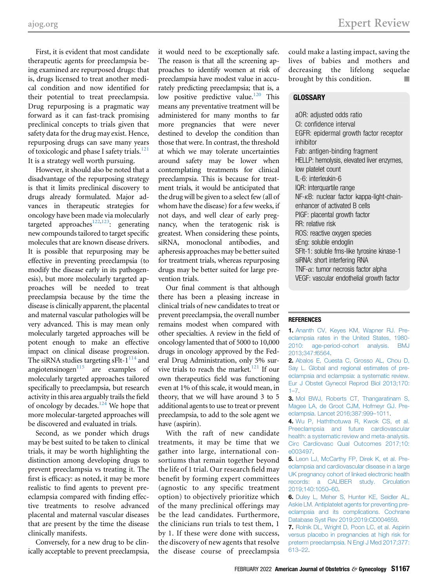First, it is evident that most candidate therapeutic agents for preeclampsia being examined are repurposed drugs: that is, drugs licensed to treat another medical condition and now identified for their potential to treat preeclampsia. Drug repurposing is a pragmatic way forward as it can fast-track promising preclinical concepts to trials given that safety data for the drug may exist. Hence, repurposing drugs can save many years of toxicologic and phase I safety trials.<sup>[121](#page-13-29)</sup> It is a strategy well worth pursuing.

However, it should also be noted that a disadvantage of the repurposing strategy is that it limits preclinical discovery to drugs already formulated. Major advances in therapeutic strategies for oncology have been made via molecularly targeted approaches<sup>122,123</sup>: generating new compounds tailored to target specific molecules that are known disease drivers. It is possible that repurposing may be effective in preventing preeclampsia (to modify the disease early in its pathogenesis), but more molecularly targeted approaches will be needed to treat preeclampsia because by the time the disease is clinically apparent, the placental and maternal vascular pathologies will be very advanced. This is may mean only molecularly targeted approaches will be potent enough to make an effective impact on clinical disease progression. The siRNA studies targeting sFlt- $1^{114}$  and angiotensinogen $115$  are examples of molecularly targeted approaches tailored specifically to preeclampsia, but research activity in this area arguably trails the field of oncology by decades.<sup>124</sup> We hope that more molecular-targeted approaches will be discovered and evaluated in trials.

Second, as we ponder which drugs may be best suited to be taken to clinical trials, it may be worth highlighting the distinction among developing drugs to prevent preeclampsia vs treating it. The first is efficacy: as noted, it may be more realistic to find agents to prevent preeclampsia compared with finding effective treatments to resolve advanced placental and maternal vascular diseases that are present by the time the disease clinically manifests.

Conversely, for a new drug to be clinically acceptable to prevent preeclampsia, it would need to be exceptionally safe. The reason is that all the screening approaches to identify women at risk of preeclampsia have modest value in accurately predicting preeclampsia; that is, a low positive predictive value.<sup>120</sup> This means any preventative treatment will be administered for many months to far more pregnancies that were never destined to develop the condition than those that were. In contrast, the threshold at which we may tolerate uncertainties around safety may be lower when contemplating treatments for clinical preeclampsia. This is because for treatment trials, it would be anticipated that the drug will be given to a select few (all of whom have the disease) for a few weeks, if not days, and well clear of early pregnancy, when the teratogenic risk is greatest. When considering these points, siRNA, monoclonal antibodies, and apheresis approaches may be better suited for treatment trials, whereas repurposing drugs may be better suited for large prevention trials.

Our final comment is that although there has been a pleasing increase in clinical trials of new candidates to treat or prevent preeclampsia, the overall number remains modest when compared with other specialties. A review in the field of oncology lamented that of 5000 to 10,000 drugs in oncology approved by the Federal Drug Administration, only 5% survive trials to reach the market. $121$  If our own therapeutics field was functioning even at 1% of this scale, it would mean, in theory, that we will have around 3 to 5 additional agents to use to treat or prevent preeclampsia, to add to the sole agent we have (aspirin).

With the raft of new candidate treatments, it may be time that we gather into large, international consortiums that remain together beyond the life of 1 trial. Our research field may benefit by forming expert committees (agnostic to any specific treatment option) to objectively prioritize which of the many preclinical offerings may be the lead candidates. Furthermore, the clinicians run trials to test them, 1 by 1. If these were done with success, the discovery of new agents that resolve the disease course of preeclampsia

could make a lasting impact, saving the lives of babies and mothers and decreasing the lifelong sequelae brought by this condition.

## **GLOSSARY**

aOR: adjusted odds ratio CI: confidence interval EGFR: epidermal growth factor receptor inhibitor Fab: antigen-binding fragment HELLP: hemolysis, elevated liver enzymes, low platelet count IL-6: interleukin-6 IQR: interquartile range NF-kB: nuclear factor kappa-light-chainenhancer of activated B cells PlGF: placental growth factor RR: relative risk ROS: reactive oxygen species sEng: soluble endoglin SFlt-1: soluble fms-like tyrosine kinase-1 siRNA: short interfering RNA TNF- $\alpha$ : tumor necrosis factor alpha VEGF: vascular endothelial growth factor

## **REFERENCES**

<span id="page-10-0"></span>1. [Ananth CV, Keyes KM, Wapner RJ. Pre](http://refhub.elsevier.com/S0002-9378(20)31071-1/sref1)[eclampsia rates in the United States, 1980-](http://refhub.elsevier.com/S0002-9378(20)31071-1/sref1) [2010: age-period-cohort analysis. BMJ](http://refhub.elsevier.com/S0002-9378(20)31071-1/sref1) [2013;347:f6564](http://refhub.elsevier.com/S0002-9378(20)31071-1/sref1).

<span id="page-10-1"></span>2. [Abalos E, Cuesta C, Grosso AL, Chou D,](http://refhub.elsevier.com/S0002-9378(20)31071-1/sref2) [Say L. Global and regional estimates of pre](http://refhub.elsevier.com/S0002-9378(20)31071-1/sref2)[eclampsia and eclampsia: a systematic review.](http://refhub.elsevier.com/S0002-9378(20)31071-1/sref2) [Eur J Obstet Gynecol Reprod Biol 2013;170:](http://refhub.elsevier.com/S0002-9378(20)31071-1/sref2) 1–[7](http://refhub.elsevier.com/S0002-9378(20)31071-1/sref2).

<span id="page-10-2"></span>3. [Mol BWJ, Roberts CT, Thangaratinam S,](http://refhub.elsevier.com/S0002-9378(20)31071-1/sref3) [Magee LA, de Groot CJM, Hofmeyr GJ. Pre](http://refhub.elsevier.com/S0002-9378(20)31071-1/sref3)[eclampsia. Lancet 2016;387:999](http://refhub.elsevier.com/S0002-9378(20)31071-1/sref3)–1011.

<span id="page-10-3"></span>4. [Wu P, Haththotuwa R, Kwok CS, et al.](http://refhub.elsevier.com/S0002-9378(20)31071-1/sref4) [Preeclampsia and future cardiovascular](http://refhub.elsevier.com/S0002-9378(20)31071-1/sref4) [health: a systematic review and meta-analysis.](http://refhub.elsevier.com/S0002-9378(20)31071-1/sref4) [Circ Cardiovasc Qual Outcomes 2017;10:](http://refhub.elsevier.com/S0002-9378(20)31071-1/sref4) [e003497](http://refhub.elsevier.com/S0002-9378(20)31071-1/sref4).

<span id="page-10-4"></span>5. [Leon LJ, McCarthy FP, Direk K, et al. Pre](http://refhub.elsevier.com/S0002-9378(20)31071-1/sref5)[eclampsia and cardiovascular disease in a large](http://refhub.elsevier.com/S0002-9378(20)31071-1/sref5) [UK pregnancy cohort of linked electronic health](http://refhub.elsevier.com/S0002-9378(20)31071-1/sref5) [records: a CALIBER study. Circulation](http://refhub.elsevier.com/S0002-9378(20)31071-1/sref5) [2019;140:1050](http://refhub.elsevier.com/S0002-9378(20)31071-1/sref5)–60.

<span id="page-10-5"></span>6. [Duley L, Meher S, Hunter KE, Seidler AL,](http://refhub.elsevier.com/S0002-9378(20)31071-1/sref6) [Askie LM. Antiplatelet agents for preventing pre](http://refhub.elsevier.com/S0002-9378(20)31071-1/sref6)[eclampsia and its complications. Cochrane](http://refhub.elsevier.com/S0002-9378(20)31071-1/sref6) [Database Syst Rev 2019;2019:CD004659.](http://refhub.elsevier.com/S0002-9378(20)31071-1/sref6)

<span id="page-10-6"></span>7. [Rolnik DL, Wright D, Poon LC, et al. Aspirin](http://refhub.elsevier.com/S0002-9378(20)31071-1/sref7) [versus placebo in pregnancies at high risk for](http://refhub.elsevier.com/S0002-9378(20)31071-1/sref7) [preterm preeclampsia. N Engl J Med 2017;377:](http://refhub.elsevier.com/S0002-9378(20)31071-1/sref7) [613](http://refhub.elsevier.com/S0002-9378(20)31071-1/sref7)–22.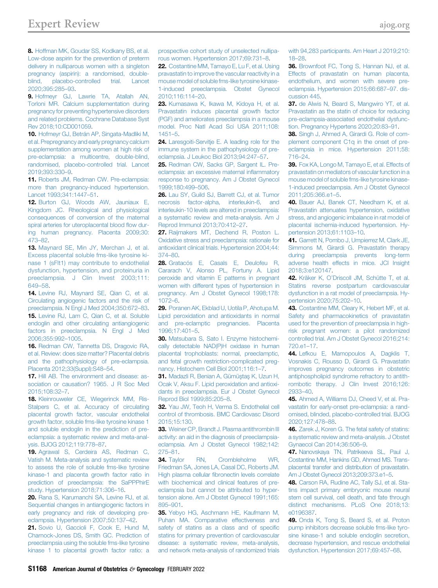<span id="page-11-0"></span>8. [Hoffman MK, Goudar SS, Kodkany BS, et al.](http://refhub.elsevier.com/S0002-9378(20)31071-1/sref8) [Low-dose aspirin for the prevention of preterm](http://refhub.elsevier.com/S0002-9378(20)31071-1/sref8) [delivery in nulliparous women with a singleton](http://refhub.elsevier.com/S0002-9378(20)31071-1/sref8) [pregnancy \(aspirin\): a randomised, double](http://refhub.elsevier.com/S0002-9378(20)31071-1/sref8)[blind, placebo-controlled trial. Lancet](http://refhub.elsevier.com/S0002-9378(20)31071-1/sref8) [2020;395:285](http://refhub.elsevier.com/S0002-9378(20)31071-1/sref8)–93.

<span id="page-11-1"></span>9. [Hofmeyr GJ, Lawrie TA, Atallah AN,](http://refhub.elsevier.com/S0002-9378(20)31071-1/sref9) [Torloni MR. Calcium supplementation during](http://refhub.elsevier.com/S0002-9378(20)31071-1/sref9) [pregnancy for preventing hypertensive disorders](http://refhub.elsevier.com/S0002-9378(20)31071-1/sref9) [and related problems. Cochrane Database Syst](http://refhub.elsevier.com/S0002-9378(20)31071-1/sref9) [Rev 2018;10:CD001059.](http://refhub.elsevier.com/S0002-9378(20)31071-1/sref9)

<span id="page-11-2"></span>10. [Hofmeyr GJ, Betrán AP, Singata-Madliki M,](http://refhub.elsevier.com/S0002-9378(20)31071-1/sref10) [et al. Prepregnancy and early pregnancy calcium](http://refhub.elsevier.com/S0002-9378(20)31071-1/sref10) [supplementation among women at high risk of](http://refhub.elsevier.com/S0002-9378(20)31071-1/sref10) [pre-eclampsia: a multicentre, double-blind,](http://refhub.elsevier.com/S0002-9378(20)31071-1/sref10) [randomised, placebo-controlled trial. Lancet](http://refhub.elsevier.com/S0002-9378(20)31071-1/sref10) [2019;393:330](http://refhub.elsevier.com/S0002-9378(20)31071-1/sref10)–9.

<span id="page-11-3"></span>11. [Roberts JM, Redman CW. Pre-eclampsia:](http://refhub.elsevier.com/S0002-9378(20)31071-1/sref11) [more than pregnancy-induced hypertension.](http://refhub.elsevier.com/S0002-9378(20)31071-1/sref11) [Lancet 1993;341:1447](http://refhub.elsevier.com/S0002-9378(20)31071-1/sref11)–51.

<span id="page-11-4"></span>12. [Burton GJ, Woods AW, Jauniaux E,](http://refhub.elsevier.com/S0002-9378(20)31071-1/sref12) [Kingdom JC. Rheological and physiological](http://refhub.elsevier.com/S0002-9378(20)31071-1/sref12) [consequences of conversion of the maternal](http://refhub.elsevier.com/S0002-9378(20)31071-1/sref12) [spiral arteries for uteroplacental blood](http://refhub.elsevier.com/S0002-9378(20)31071-1/sref12) flow dur[ing human pregnancy. Placenta 2009;30:](http://refhub.elsevier.com/S0002-9378(20)31071-1/sref12) [473](http://refhub.elsevier.com/S0002-9378(20)31071-1/sref12)–82.

<span id="page-11-5"></span>13. [Maynard SE, Min JY, Merchan J, et al.](http://refhub.elsevier.com/S0002-9378(20)31071-1/sref13) [Excess placental soluble fms-like tyrosine ki](http://refhub.elsevier.com/S0002-9378(20)31071-1/sref13)[nase 1 \(sFlt1\) may contribute to endothelial](http://refhub.elsevier.com/S0002-9378(20)31071-1/sref13) [dysfunction, hypertension, and proteinuria in](http://refhub.elsevier.com/S0002-9378(20)31071-1/sref13) [preeclampsia. J Clin Invest 2003;111:](http://refhub.elsevier.com/S0002-9378(20)31071-1/sref13) [649](http://refhub.elsevier.com/S0002-9378(20)31071-1/sref13)–58.

<span id="page-11-7"></span><span id="page-11-6"></span>14. [Levine RJ, Maynard SE, Qian C, et al.](http://refhub.elsevier.com/S0002-9378(20)31071-1/sref14) [Circulating angiogenic factors and the risk of](http://refhub.elsevier.com/S0002-9378(20)31071-1/sref14) [preeclampsia. N Engl J Med 2004;350:672](http://refhub.elsevier.com/S0002-9378(20)31071-1/sref14)–83. 15. [Levine RJ, Lam C, Qian C, et al. Soluble](http://refhub.elsevier.com/S0002-9378(20)31071-1/sref15) [endoglin and other circulating antiangiogenic](http://refhub.elsevier.com/S0002-9378(20)31071-1/sref15) [factors in preeclampsia. N Engl J Med](http://refhub.elsevier.com/S0002-9378(20)31071-1/sref15) [2006;355:992](http://refhub.elsevier.com/S0002-9378(20)31071-1/sref15)–1005.

<span id="page-11-8"></span>16. [Redman CW, Tannetta DS, Dragovic RA,](http://refhub.elsevier.com/S0002-9378(20)31071-1/sref16) [et al. Review: does size matter? Placental debris](http://refhub.elsevier.com/S0002-9378(20)31071-1/sref16) [and the pathophysiology of pre-eclampsia.](http://refhub.elsevier.com/S0002-9378(20)31071-1/sref16) [Placenta 2012;33\(Suppl\):S48](http://refhub.elsevier.com/S0002-9378(20)31071-1/sref16)–54.

<span id="page-11-9"></span>17. [Hill AB. The environment and disease: as](http://refhub.elsevier.com/S0002-9378(20)31071-1/sref17)[sociation or causation? 1965. J R Soc Med](http://refhub.elsevier.com/S0002-9378(20)31071-1/sref17) [2015;108:32](http://refhub.elsevier.com/S0002-9378(20)31071-1/sref17)–7.

<span id="page-11-10"></span>18. [Kleinrouweler CE, Wiegerinck MM, Ris-](http://refhub.elsevier.com/S0002-9378(20)31071-1/sref18)[Stalpers C, et al. Accuracy of circulating](http://refhub.elsevier.com/S0002-9378(20)31071-1/sref18) [placental growth factor, vascular endothelial](http://refhub.elsevier.com/S0002-9378(20)31071-1/sref18) [growth factor, soluble fms-like tyrosine kinase 1](http://refhub.elsevier.com/S0002-9378(20)31071-1/sref18) [and soluble endoglin in the prediction of pre](http://refhub.elsevier.com/S0002-9378(20)31071-1/sref18)[eclampsia: a systematic review and meta-anal](http://refhub.elsevier.com/S0002-9378(20)31071-1/sref18)[ysis. BJOG 2012;119:778](http://refhub.elsevier.com/S0002-9378(20)31071-1/sref18)–87.

<span id="page-11-11"></span>19. [Agrawal S, Cerdeira AS, Redman C,](http://refhub.elsevier.com/S0002-9378(20)31071-1/sref19) [Vatish M. Meta-analysis and systematic review](http://refhub.elsevier.com/S0002-9378(20)31071-1/sref19) [to assess the role of soluble fms-like tyrosine](http://refhub.elsevier.com/S0002-9378(20)31071-1/sref19) [kinase-1 and placenta growth factor ratio in](http://refhub.elsevier.com/S0002-9378(20)31071-1/sref19) [prediction of preeclampsia: the SaPPPhirE](http://refhub.elsevier.com/S0002-9378(20)31071-1/sref19) [study. Hypertension 2018;71:306](http://refhub.elsevier.com/S0002-9378(20)31071-1/sref19)–16.

<span id="page-11-12"></span>20. [Rana S, Karumanchi SA, Levine RJ, et al.](http://refhub.elsevier.com/S0002-9378(20)31071-1/sref20) [Sequential changes in antiangiogenic factors in](http://refhub.elsevier.com/S0002-9378(20)31071-1/sref20) [early pregnancy and risk of developing pre](http://refhub.elsevier.com/S0002-9378(20)31071-1/sref20)[eclampsia. Hypertension 2007;50:137](http://refhub.elsevier.com/S0002-9378(20)31071-1/sref20)–42.

<span id="page-11-13"></span>21. [Sovio U, Gaccioli F, Cook E, Hund M,](http://refhub.elsevier.com/S0002-9378(20)31071-1/sref21) [Charnock-Jones DS, Smith GC. Prediction of](http://refhub.elsevier.com/S0002-9378(20)31071-1/sref21) [preeclampsia using the soluble fms-like tyrosine](http://refhub.elsevier.com/S0002-9378(20)31071-1/sref21) [kinase 1 to placental growth factor ratio: a](http://refhub.elsevier.com/S0002-9378(20)31071-1/sref21)

[prospective cohort study of unselected nullipa](http://refhub.elsevier.com/S0002-9378(20)31071-1/sref21)[rous women. Hypertension 2017;69:731](http://refhub.elsevier.com/S0002-9378(20)31071-1/sref21)–8.

<span id="page-11-14"></span>22. [Costantine MM, Tamayo E, Lu F, et al. Using](http://refhub.elsevier.com/S0002-9378(20)31071-1/sref22) [pravastatin to improve the vascular reactivity in a](http://refhub.elsevier.com/S0002-9378(20)31071-1/sref22) [mouse model of soluble fms-like tyrosine kinase-](http://refhub.elsevier.com/S0002-9378(20)31071-1/sref22)[1-induced preeclampsia. Obstet Gynecol](http://refhub.elsevier.com/S0002-9378(20)31071-1/sref22) [2010;116:114](http://refhub.elsevier.com/S0002-9378(20)31071-1/sref22)–20.

<span id="page-11-15"></span>23. [Kumasawa K, Ikawa M, Kidoya H, et al.](http://refhub.elsevier.com/S0002-9378(20)31071-1/sref23) [Pravastatin induces placental growth factor](http://refhub.elsevier.com/S0002-9378(20)31071-1/sref23) [\(PGF\) and ameliorates preeclampsia in a mouse](http://refhub.elsevier.com/S0002-9378(20)31071-1/sref23) [model. Proc Natl Acad Sci USA 2011;108:](http://refhub.elsevier.com/S0002-9378(20)31071-1/sref23) [1451](http://refhub.elsevier.com/S0002-9378(20)31071-1/sref23)–5.

<span id="page-11-16"></span>24. [Laresgoiti-Servitje E. A leading role for the](http://refhub.elsevier.com/S0002-9378(20)31071-1/sref24) [immune system in the pathophysiology of pre](http://refhub.elsevier.com/S0002-9378(20)31071-1/sref24)[eclampsia. J Leukoc Biol 2013;94:247](http://refhub.elsevier.com/S0002-9378(20)31071-1/sref24)–57.

<span id="page-11-17"></span>25. [Redman CW, Sacks GP, Sargent IL. Pre](http://refhub.elsevier.com/S0002-9378(20)31071-1/sref25)[eclampsia: an excessive maternal in](http://refhub.elsevier.com/S0002-9378(20)31071-1/sref25)flammatory [response to pregnancy. Am J Obstet Gynecol](http://refhub.elsevier.com/S0002-9378(20)31071-1/sref25) [1999;180:499](http://refhub.elsevier.com/S0002-9378(20)31071-1/sref25)–506.

<span id="page-11-18"></span>26. [Lau SY, Guild SJ, Barrett CJ, et al. Tumor](http://refhub.elsevier.com/S0002-9378(20)31071-1/sref26) [necrosis factor-alpha, interleukin-6, and](http://refhub.elsevier.com/S0002-9378(20)31071-1/sref26) [interleukin-10 levels are altered in preeclampsia:](http://refhub.elsevier.com/S0002-9378(20)31071-1/sref26) [a systematic review and meta-analysis. Am J](http://refhub.elsevier.com/S0002-9378(20)31071-1/sref26) [Reprod Immunol 2013;70:412](http://refhub.elsevier.com/S0002-9378(20)31071-1/sref26)–27.

<span id="page-11-19"></span>27. [Raijmakers MT, Dechend R, Poston L.](http://refhub.elsevier.com/S0002-9378(20)31071-1/sref27) [Oxidative stress and preeclampsia: rationale for](http://refhub.elsevier.com/S0002-9378(20)31071-1/sref27) [antioxidant clinical trials. Hypertension 2004;44:](http://refhub.elsevier.com/S0002-9378(20)31071-1/sref27) [374](http://refhub.elsevier.com/S0002-9378(20)31071-1/sref27)–80.

<span id="page-11-20"></span>28. [Gratacós E, Casals E, Deulofeu R,](http://refhub.elsevier.com/S0002-9378(20)31071-1/sref28) [Cararach V, Alonso PL, Fortuny A. Lipid](http://refhub.elsevier.com/S0002-9378(20)31071-1/sref28) [peroxide and vitamin E patterns in pregnant](http://refhub.elsevier.com/S0002-9378(20)31071-1/sref28) [women with different types of hypertension in](http://refhub.elsevier.com/S0002-9378(20)31071-1/sref28) [pregnancy. Am J Obstet Gynecol 1998;178:](http://refhub.elsevier.com/S0002-9378(20)31071-1/sref28) [1072](http://refhub.elsevier.com/S0002-9378(20)31071-1/sref28)–6.

29. [Poranen AK, Ekblad U, Uotila P, Ahotupa M.](http://refhub.elsevier.com/S0002-9378(20)31071-1/sref29) [Lipid peroxidation and antioxidants in normal](http://refhub.elsevier.com/S0002-9378(20)31071-1/sref29) [and pre-eclamptic pregnancies. Placenta](http://refhub.elsevier.com/S0002-9378(20)31071-1/sref29) [1996;17:401](http://refhub.elsevier.com/S0002-9378(20)31071-1/sref29)–5.

30. [Matsubara S, Sato I. Enzyme histochemi](http://refhub.elsevier.com/S0002-9378(20)31071-1/sref30)[cally detectable NAD\(P\)H oxidase in human](http://refhub.elsevier.com/S0002-9378(20)31071-1/sref30) [placental trophoblasts: normal, preeclamptic,](http://refhub.elsevier.com/S0002-9378(20)31071-1/sref30) [and fetal growth restriction-complicated preg](http://refhub.elsevier.com/S0002-9378(20)31071-1/sref30)[nancy. Histochem Cell Biol 2001;116:1](http://refhub.elsevier.com/S0002-9378(20)31071-1/sref30)–7.

<span id="page-11-21"></span>31. [Madazli R, Benian A, Gümüs](http://refhub.elsevier.com/S0002-9378(20)31071-1/sref31)[ta](http://refhub.elsevier.com/S0002-9378(20)31071-1/sref31)s [K, Uzun H,](http://refhub.elsevier.com/S0002-9378(20)31071-1/sref31) [Ocak V, Aksu F. Lipid peroxidation and antioxi](http://refhub.elsevier.com/S0002-9378(20)31071-1/sref31)[dants in preeclampsia. Eur J Obstet Gynecol](http://refhub.elsevier.com/S0002-9378(20)31071-1/sref31) [Reprod Biol 1999;85:205](http://refhub.elsevier.com/S0002-9378(20)31071-1/sref31)–8.

<span id="page-11-22"></span>32. [Yau JW, Teoh H, Verma S. Endothelial cell](http://refhub.elsevier.com/S0002-9378(20)31071-1/sref32) [control of thrombosis. BMC Cardiovasc Disord](http://refhub.elsevier.com/S0002-9378(20)31071-1/sref32) [2015;15:130.](http://refhub.elsevier.com/S0002-9378(20)31071-1/sref32)

<span id="page-11-23"></span>33. [Weiner CP, Brandt J. Plasma antithrombin III](http://refhub.elsevier.com/S0002-9378(20)31071-1/sref33) [activity: an aid in the diagnosis of preeclampsia](http://refhub.elsevier.com/S0002-9378(20)31071-1/sref33)[eclampsia. Am J Obstet Gynecol 1982;142:](http://refhub.elsevier.com/S0002-9378(20)31071-1/sref33) [275](http://refhub.elsevier.com/S0002-9378(20)31071-1/sref33)–81.

<span id="page-11-24"></span>34. [Taylor RN, Crombleholme WR,](http://refhub.elsevier.com/S0002-9378(20)31071-1/sref34) [Friedman SA, Jones LA, Casal DC, Roberts JM.](http://refhub.elsevier.com/S0002-9378(20)31071-1/sref34) High plasma cellular fi[bronectin levels correlate](http://refhub.elsevier.com/S0002-9378(20)31071-1/sref34) [with biochemical and clinical features of pre](http://refhub.elsevier.com/S0002-9378(20)31071-1/sref34)[eclampsia but cannot be attributed to hyper](http://refhub.elsevier.com/S0002-9378(20)31071-1/sref34)[tension alone. Am J Obstet Gynecol 1991;165:](http://refhub.elsevier.com/S0002-9378(20)31071-1/sref34) 895–[901.](http://refhub.elsevier.com/S0002-9378(20)31071-1/sref34)

<span id="page-11-25"></span>35. [Yebyo HG, Aschmann HE, Kaufmann M,](http://refhub.elsevier.com/S0002-9378(20)31071-1/sref35) [Puhan MA. Comparative effectiveness and](http://refhub.elsevier.com/S0002-9378(20)31071-1/sref35) [safety of statins as a class and of speci](http://refhub.elsevier.com/S0002-9378(20)31071-1/sref35)fic [statins for primary prevention of cardiovascular](http://refhub.elsevier.com/S0002-9378(20)31071-1/sref35) [disease: a systematic review, meta-analysis,](http://refhub.elsevier.com/S0002-9378(20)31071-1/sref35) [and network meta-analysis of randomized trials](http://refhub.elsevier.com/S0002-9378(20)31071-1/sref35)

[with 94,283 participants. Am Heart J 2019;210:](http://refhub.elsevier.com/S0002-9378(20)31071-1/sref35) 18–[28](http://refhub.elsevier.com/S0002-9378(20)31071-1/sref35).

<span id="page-11-26"></span>36. [Brownfoot FC, Tong S, Hannan NJ, et al.](http://refhub.elsevier.com/S0002-9378(20)31071-1/sref36) [Effects of pravastatin on human placenta,](http://refhub.elsevier.com/S0002-9378(20)31071-1/sref36) [endothelium, and women with severe pre](http://refhub.elsevier.com/S0002-9378(20)31071-1/sref36)[eclampsia. Hypertension 2015;66:687](http://refhub.elsevier.com/S0002-9378(20)31071-1/sref36)–97. dis[cussion 445.](http://refhub.elsevier.com/S0002-9378(20)31071-1/sref36)

<span id="page-11-27"></span>37. [de Alwis N, Beard S, Mangwiro YT, et al.](http://refhub.elsevier.com/S0002-9378(20)31071-1/sref37) [Pravastatin as the statin of choice for reducing](http://refhub.elsevier.com/S0002-9378(20)31071-1/sref37) [pre-eclampsia-associated endothelial dysfunc](http://refhub.elsevier.com/S0002-9378(20)31071-1/sref37)[tion. Pregnancy Hypertens 2020;20:83](http://refhub.elsevier.com/S0002-9378(20)31071-1/sref37)–91.

<span id="page-11-28"></span>38. [Singh J, Ahmed A, Girardi G. Role of com](http://refhub.elsevier.com/S0002-9378(20)31071-1/sref38)[plement component C1q in the onset of pre](http://refhub.elsevier.com/S0002-9378(20)31071-1/sref38)[eclampsia in mice. Hypertension 2011;58:](http://refhub.elsevier.com/S0002-9378(20)31071-1/sref38) [716](http://refhub.elsevier.com/S0002-9378(20)31071-1/sref38)–24.

39. [Fox KA, Longo M, Tamayo E, et al. Effects of](http://refhub.elsevier.com/S0002-9378(20)31071-1/sref39) [pravastatin on mediators of vascular function in a](http://refhub.elsevier.com/S0002-9378(20)31071-1/sref39) [mouse model of soluble fms-like tyrosine kinase-](http://refhub.elsevier.com/S0002-9378(20)31071-1/sref39)[1-induced preeclampsia. Am J Obstet Gynecol](http://refhub.elsevier.com/S0002-9378(20)31071-1/sref39) [2011;205:366.e1](http://refhub.elsevier.com/S0002-9378(20)31071-1/sref39)–5.

40. [Bauer AJ, Banek CT, Needham K, et al.](http://refhub.elsevier.com/S0002-9378(20)31071-1/sref40) [Pravastatin attenuates hypertension, oxidative](http://refhub.elsevier.com/S0002-9378(20)31071-1/sref40) [stress, and angiogenic imbalance in rat model of](http://refhub.elsevier.com/S0002-9378(20)31071-1/sref40) [placental ischemia-induced hypertension. Hy](http://refhub.elsevier.com/S0002-9378(20)31071-1/sref40)[pertension 2013;61:1103](http://refhub.elsevier.com/S0002-9378(20)31071-1/sref40)–10.

<span id="page-11-29"></span>41. [Garrett N, Pombo J, Umpierrez M, Clark JE,](http://refhub.elsevier.com/S0002-9378(20)31071-1/sref41) [Simmons M, Girardi G. Pravastatin therapy](http://refhub.elsevier.com/S0002-9378(20)31071-1/sref41) [during preeclampsia prevents long-term](http://refhub.elsevier.com/S0002-9378(20)31071-1/sref41) [adverse health effects in mice. JCI Insight](http://refhub.elsevier.com/S0002-9378(20)31071-1/sref41) [2018;3:e120147](http://refhub.elsevier.com/S0002-9378(20)31071-1/sref41).

<span id="page-11-30"></span>42. Kräker K, O'[Driscoll JM, Schütte T, et al.](http://refhub.elsevier.com/S0002-9378(20)31071-1/sref42) [Statins reverse postpartum cardiovascular](http://refhub.elsevier.com/S0002-9378(20)31071-1/sref42) [dysfunction in a rat model of preeclampsia. Hy](http://refhub.elsevier.com/S0002-9378(20)31071-1/sref42)[pertension 2020;75:202](http://refhub.elsevier.com/S0002-9378(20)31071-1/sref42)–10.

<span id="page-11-31"></span>43. [Costantine MM, Cleary K, Hebert MF, et al.](http://refhub.elsevier.com/S0002-9378(20)31071-1/sref43) [Safety and pharmacokinetics of pravastatin](http://refhub.elsevier.com/S0002-9378(20)31071-1/sref43) [used for the prevention of preeclampsia in high](http://refhub.elsevier.com/S0002-9378(20)31071-1/sref43)[risk pregnant women: a pilot randomized](http://refhub.elsevier.com/S0002-9378(20)31071-1/sref43) [controlled trial. Am J Obstet Gynecol 2016;214:](http://refhub.elsevier.com/S0002-9378(20)31071-1/sref43) [720.e1](http://refhub.elsevier.com/S0002-9378(20)31071-1/sref43)–17.

<span id="page-11-32"></span>44. [Lefkou E, Mamopoulos A, Dagklis T,](http://refhub.elsevier.com/S0002-9378(20)31071-1/sref44) [Vosnakis C, Rousso D, Girardi G. Pravastatin](http://refhub.elsevier.com/S0002-9378(20)31071-1/sref44) [improves pregnancy outcomes in obstetric](http://refhub.elsevier.com/S0002-9378(20)31071-1/sref44) [antiphospholipid syndrome refractory to antith](http://refhub.elsevier.com/S0002-9378(20)31071-1/sref44)[rombotic therapy. J Clin Invest 2016;126:](http://refhub.elsevier.com/S0002-9378(20)31071-1/sref44) [2933](http://refhub.elsevier.com/S0002-9378(20)31071-1/sref44)–40.

<span id="page-11-33"></span>45. [Ahmed A, Williams DJ, Cheed V, et al. Pra](http://refhub.elsevier.com/S0002-9378(20)31071-1/sref45)[vastatin for early-onset pre-eclampsia: a rand](http://refhub.elsevier.com/S0002-9378(20)31071-1/sref45)[omised, blinded, placebo-controlled trial. BJOG](http://refhub.elsevier.com/S0002-9378(20)31071-1/sref45) [2020;127:478](http://refhub.elsevier.com/S0002-9378(20)31071-1/sref45)–88.

<span id="page-11-34"></span>46. [Zarek J, Koren G. The fetal safety of statins:](http://refhub.elsevier.com/S0002-9378(20)31071-1/sref46) [a systematic review and meta-analysis. J Obstet](http://refhub.elsevier.com/S0002-9378(20)31071-1/sref46) [Gynaecol Can 2014;36:506](http://refhub.elsevier.com/S0002-9378(20)31071-1/sref46)–9.

<span id="page-11-35"></span>47. [Nanovskaya TN, Patrikeeva SL, Paul J,](http://refhub.elsevier.com/S0002-9378(20)31071-1/sref47) [Costantine MM, Hankins GD, Ahmed MS. Trans](http://refhub.elsevier.com/S0002-9378(20)31071-1/sref47)[placental transfer and distribution of pravastatin.](http://refhub.elsevier.com/S0002-9378(20)31071-1/sref47) [Am J Obstet Gynecol 2013;209:373.e1](http://refhub.elsevier.com/S0002-9378(20)31071-1/sref47)–5.

<span id="page-11-36"></span>48. [Carson RA, Rudine AC, Tally SJ, et al. Sta](http://refhub.elsevier.com/S0002-9378(20)31071-1/sref48)[tins impact primary embryonic mouse neural](http://refhub.elsevier.com/S0002-9378(20)31071-1/sref48) [stem cell survival, cell death, and fate through](http://refhub.elsevier.com/S0002-9378(20)31071-1/sref48) [distinct mechanisms. PLoS One 2018;13:](http://refhub.elsevier.com/S0002-9378(20)31071-1/sref48) [e0196387](http://refhub.elsevier.com/S0002-9378(20)31071-1/sref48).

<span id="page-11-37"></span>49. [Onda K, Tong S, Beard S, et al. Proton](http://refhub.elsevier.com/S0002-9378(20)31071-1/sref49) [pump inhibitors decrease soluble fms-like tyro](http://refhub.elsevier.com/S0002-9378(20)31071-1/sref49)[sine kinase-1 and soluble endoglin secretion,](http://refhub.elsevier.com/S0002-9378(20)31071-1/sref49) [decrease hypertension, and rescue endothelial](http://refhub.elsevier.com/S0002-9378(20)31071-1/sref49) [dysfunction. Hypertension 2017;69:457](http://refhub.elsevier.com/S0002-9378(20)31071-1/sref49)–68.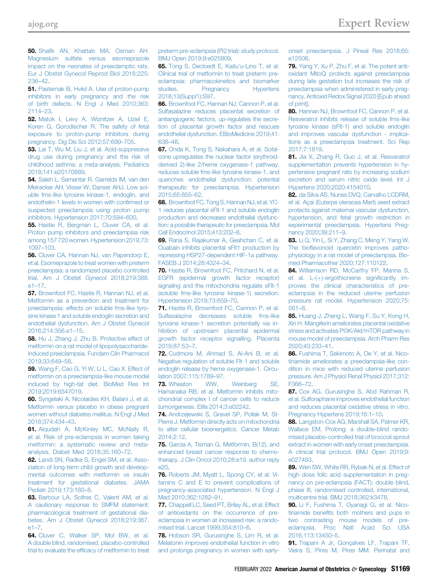<span id="page-12-0"></span>50. Shafi[k AN, Khattab MA, Osman AH.](http://refhub.elsevier.com/S0002-9378(20)31071-1/sref50) [Magnesium sulfate versus esomeprazole](http://refhub.elsevier.com/S0002-9378(20)31071-1/sref50) [impact on the neonates of preeclamptic rats.](http://refhub.elsevier.com/S0002-9378(20)31071-1/sref50) [Eur J Obstet Gynecol Reprod Biol 2018;225:](http://refhub.elsevier.com/S0002-9378(20)31071-1/sref50) [236](http://refhub.elsevier.com/S0002-9378(20)31071-1/sref50)–42.

<span id="page-12-1"></span>51. [Pasternak B, Hviid A. Use of proton-pump](http://refhub.elsevier.com/S0002-9378(20)31071-1/sref51) [inhibitors in early pregnancy and the risk](http://refhub.elsevier.com/S0002-9378(20)31071-1/sref51) [of birth defects. N Engl J Med 2010;363:](http://refhub.elsevier.com/S0002-9378(20)31071-1/sref51) [2114](http://refhub.elsevier.com/S0002-9378(20)31071-1/sref51)–23.

<span id="page-12-2"></span>52. [Matok I, Levy A, Wiznitzer A, Uziel E,](http://refhub.elsevier.com/S0002-9378(20)31071-1/sref52) [Koren G, Gorodischer R. The safety of fetal](http://refhub.elsevier.com/S0002-9378(20)31071-1/sref52) [exposure to proton-pump inhibitors during](http://refhub.elsevier.com/S0002-9378(20)31071-1/sref52) [pregnancy. Dig Dis Sci 2012;57:699](http://refhub.elsevier.com/S0002-9378(20)31071-1/sref52)–705.

<span id="page-12-3"></span>53. [Lai T, Wu M, Liu J, et al. Acid-suppressive](http://refhub.elsevier.com/S0002-9378(20)31071-1/sref53) [drug use during pregnancy and the risk of](http://refhub.elsevier.com/S0002-9378(20)31071-1/sref53) [childhood asthma: a meta-analysis. Pediatrics](http://refhub.elsevier.com/S0002-9378(20)31071-1/sref53) [2018;141:e20170889](http://refhub.elsevier.com/S0002-9378(20)31071-1/sref53).

<span id="page-12-4"></span>54. [Saleh L, Samantar R, Garrelds IM, van den](http://refhub.elsevier.com/S0002-9378(20)31071-1/sref54) [Meiracker AH, Visser W, Danser AHJ. Low sol](http://refhub.elsevier.com/S0002-9378(20)31071-1/sref54)[uble fms-like tyrosine kinase-1, endoglin, and](http://refhub.elsevier.com/S0002-9378(20)31071-1/sref54) [endothelin-1 levels in women with con](http://refhub.elsevier.com/S0002-9378(20)31071-1/sref54)firmed or [suspected preeclampsia using proton pump](http://refhub.elsevier.com/S0002-9378(20)31071-1/sref54) [inhibitors. Hypertension 2017;70:594](http://refhub.elsevier.com/S0002-9378(20)31071-1/sref54)–600.

<span id="page-12-5"></span>55. [Hastie R, Bergman L, Cluver CA, et al.](http://refhub.elsevier.com/S0002-9378(20)31071-1/sref55) [Proton pump inhibitors and preeclampsia risk](http://refhub.elsevier.com/S0002-9378(20)31071-1/sref55) [among 157 720 women. Hypertension 2019;73:](http://refhub.elsevier.com/S0002-9378(20)31071-1/sref55) [1097](http://refhub.elsevier.com/S0002-9378(20)31071-1/sref55)–103.

<span id="page-12-6"></span>56. [Cluver CA, Hannan NJ, van Papendorp E,](http://refhub.elsevier.com/S0002-9378(20)31071-1/sref56) [et al. Esomeprazole to treat women with preterm](http://refhub.elsevier.com/S0002-9378(20)31071-1/sref56) [preeclampsia: a randomized placebo controlled](http://refhub.elsevier.com/S0002-9378(20)31071-1/sref56) [trial. Am J Obstet Gynecol 2018;219:388.](http://refhub.elsevier.com/S0002-9378(20)31071-1/sref56) e1–[17](http://refhub.elsevier.com/S0002-9378(20)31071-1/sref56).

<span id="page-12-7"></span>57. [Brownfoot FC, Hastie R, Hannan NJ, et al.](http://refhub.elsevier.com/S0002-9378(20)31071-1/sref57) [Metformin as a prevention and treatment for](http://refhub.elsevier.com/S0002-9378(20)31071-1/sref57) [preeclampsia: effects on soluble fms-like tyro](http://refhub.elsevier.com/S0002-9378(20)31071-1/sref57)[sine kinase 1 and soluble endoglin secretion and](http://refhub.elsevier.com/S0002-9378(20)31071-1/sref57) [endothelial dysfunction. Am J Obstet Gynecol](http://refhub.elsevier.com/S0002-9378(20)31071-1/sref57) [2016;214:356.e1](http://refhub.elsevier.com/S0002-9378(20)31071-1/sref57)–15.

<span id="page-12-8"></span>58. [Hu J, Zhang J, Zhu B. Protective effect of](http://refhub.elsevier.com/S0002-9378(20)31071-1/sref58) [metformin on a rat model of lipopolysaccharide](http://refhub.elsevier.com/S0002-9378(20)31071-1/sref58)[induced preeclampsia. Fundam Clin Pharmacol](http://refhub.elsevier.com/S0002-9378(20)31071-1/sref58) [2019;33:649](http://refhub.elsevier.com/S0002-9378(20)31071-1/sref58)–58.

<span id="page-12-9"></span>59. Wang F, Cao G, Yi W, Li L, Cao X, Effect of [metformin on a preeclampsia-like mouse model](http://refhub.elsevier.com/S0002-9378(20)31071-1/sref59) [induced by high-fat diet. BioMed Res Int](http://refhub.elsevier.com/S0002-9378(20)31071-1/sref59) [2019;2019:6547019.](http://refhub.elsevier.com/S0002-9378(20)31071-1/sref59)

<span id="page-12-10"></span>60. [Syngelaki A, Nicolaides KH, Balani J, et al.](http://refhub.elsevier.com/S0002-9378(20)31071-1/sref60) [Metformin versus placebo in obese pregnant](http://refhub.elsevier.com/S0002-9378(20)31071-1/sref60) [women without diabetes mellitus. N Engl J Med](http://refhub.elsevier.com/S0002-9378(20)31071-1/sref60) [2016;374:434](http://refhub.elsevier.com/S0002-9378(20)31071-1/sref60)–43.

<span id="page-12-11"></span>61. [Alqudah A, McKinley MC, McNally R,](http://refhub.elsevier.com/S0002-9378(20)31071-1/sref61) [et al. Risk of pre-eclampsia in women taking](http://refhub.elsevier.com/S0002-9378(20)31071-1/sref61) [metformin: a systematic review and meta](http://refhub.elsevier.com/S0002-9378(20)31071-1/sref61)[analysis. Diabet Med 2018;35:160](http://refhub.elsevier.com/S0002-9378(20)31071-1/sref61)–72.

<span id="page-12-12"></span>62. [Landi SN, Radke S, Engel SM, et al. Asso](http://refhub.elsevier.com/S0002-9378(20)31071-1/sref62)[ciation of long-term child growth and develop](http://refhub.elsevier.com/S0002-9378(20)31071-1/sref62)[mental outcomes with metformin vs insulin](http://refhub.elsevier.com/S0002-9378(20)31071-1/sref62) [treatment for gestational diabetes. JAMA](http://refhub.elsevier.com/S0002-9378(20)31071-1/sref62) [Pediatr 2019;173:160](http://refhub.elsevier.com/S0002-9378(20)31071-1/sref62)–8.

<span id="page-12-13"></span>63. [Barbour LA, Scifres C, Valent AM, et al.](http://refhub.elsevier.com/S0002-9378(20)31071-1/sref63) [A cautionary response to SMFM statement:](http://refhub.elsevier.com/S0002-9378(20)31071-1/sref63) [pharmacological treatment of gestational dia](http://refhub.elsevier.com/S0002-9378(20)31071-1/sref63)[betes. Am J Obstet Gynecol 2018;219:367.](http://refhub.elsevier.com/S0002-9378(20)31071-1/sref63) [e1](http://refhub.elsevier.com/S0002-9378(20)31071-1/sref63)–7.

<span id="page-12-14"></span>64. [Cluver C, Walker SP, Mol BW, et al.](http://refhub.elsevier.com/S0002-9378(20)31071-1/sref64) [A double blind, randomised, placebo-controlled](http://refhub.elsevier.com/S0002-9378(20)31071-1/sref64) trial to evaluate the effi[cacy of metformin to treat](http://refhub.elsevier.com/S0002-9378(20)31071-1/sref64) [preterm pre-eclampsia \(PI2 trial\): study protocol.](http://refhub.elsevier.com/S0002-9378(20)31071-1/sref64) [BMJ Open 2019;9:e025809.](http://refhub.elsevier.com/S0002-9378(20)31071-1/sref64)

<span id="page-12-15"></span>65. [Tong S, Decloedt E, Kaitu](http://refhub.elsevier.com/S0002-9378(20)31071-1/sref65)'u-Lino T, et al. [Clinical trial of metformin to treat preterm pre](http://refhub.elsevier.com/S0002-9378(20)31071-1/sref65)[eclampsia: pharmacokinetics and biomarker](http://refhub.elsevier.com/S0002-9378(20)31071-1/sref65) [studies. Pregnancy Hypertens](http://refhub.elsevier.com/S0002-9378(20)31071-1/sref65) [2018;13\(Suppl1\):S97.](http://refhub.elsevier.com/S0002-9378(20)31071-1/sref65)

<span id="page-12-16"></span>66. [Brownfoot FC, Hannan NJ, Cannon P, et al.](http://refhub.elsevier.com/S0002-9378(20)31071-1/sref66) [Sulfasalazine reduces placental secretion of](http://refhub.elsevier.com/S0002-9378(20)31071-1/sref66) [antiangiogenic factors, up-regulates the secre](http://refhub.elsevier.com/S0002-9378(20)31071-1/sref66)[tion of placental growth factor and rescues](http://refhub.elsevier.com/S0002-9378(20)31071-1/sref66) [endothelial dysfunction. EBioMedicine 2019;41:](http://refhub.elsevier.com/S0002-9378(20)31071-1/sref66) [636](http://refhub.elsevier.com/S0002-9378(20)31071-1/sref66)–48.

<span id="page-12-17"></span>67. [Onda K, Tong S, Nakahara A, et al. Sofal](http://refhub.elsevier.com/S0002-9378(20)31071-1/sref67)[cone upregulates the nuclear factor \(erythroid](http://refhub.elsevier.com/S0002-9378(20)31071-1/sref67)[derived 2\)-like 2/heme oxygenase-1 pathway,](http://refhub.elsevier.com/S0002-9378(20)31071-1/sref67) [reduces soluble fms-like tyrosine kinase-1, and](http://refhub.elsevier.com/S0002-9378(20)31071-1/sref67) [quenches endothelial dysfunction: potential](http://refhub.elsevier.com/S0002-9378(20)31071-1/sref67) [therapeutic for preeclampsia. Hypertension](http://refhub.elsevier.com/S0002-9378(20)31071-1/sref67) [2015;65:855](http://refhub.elsevier.com/S0002-9378(20)31071-1/sref67)–62.

<span id="page-12-21"></span>68. [Brownfoot FC, Tong S, Hannan NJ, et al. YC-](http://refhub.elsevier.com/S0002-9378(20)31071-1/sref68)[1 reduces placental sFlt-1 and soluble endoglin](http://refhub.elsevier.com/S0002-9378(20)31071-1/sref68) [production and decreases endothelial dysfunc](http://refhub.elsevier.com/S0002-9378(20)31071-1/sref68)[tion: a possible therapeutic for preeclampsia. Mol](http://refhub.elsevier.com/S0002-9378(20)31071-1/sref68) [Cell Endocrinol 2015;413:202](http://refhub.elsevier.com/S0002-9378(20)31071-1/sref68)–8.

69. [Rana S, Rajakumar A, Geahchan C, et al.](http://refhub.elsevier.com/S0002-9378(20)31071-1/sref69) [Ouabain inhibits placental sFlt1 production by](http://refhub.elsevier.com/S0002-9378(20)31071-1/sref69) [repressing HSP27-dependent HIF-1](http://refhub.elsevier.com/S0002-9378(20)31071-1/sref69) $\alpha$  pathway. [FASEB J 2014;28:4324](http://refhub.elsevier.com/S0002-9378(20)31071-1/sref69)–34.

<span id="page-12-18"></span>70. [Hastie R, Brownfoot FC, Pritchard N, et al.](http://refhub.elsevier.com/S0002-9378(20)31071-1/sref70) [EGFR \(epidermal growth factor receptor\)](http://refhub.elsevier.com/S0002-9378(20)31071-1/sref70) [signaling and the mitochondria regulate sFlt-1](http://refhub.elsevier.com/S0002-9378(20)31071-1/sref70) [\(soluble fms-like tyrosine kinase-1\) secretion.](http://refhub.elsevier.com/S0002-9378(20)31071-1/sref70) [Hypertension 2019;73:659](http://refhub.elsevier.com/S0002-9378(20)31071-1/sref70)–70.

<span id="page-12-19"></span>71. [Hastie R, Brownfoot FC, Cannon P, et al.](http://refhub.elsevier.com/S0002-9378(20)31071-1/sref71) [Sulfasalazine decreases soluble fms-like](http://refhub.elsevier.com/S0002-9378(20)31071-1/sref71) [tyrosine kinase-1 secretion potentially via in](http://refhub.elsevier.com/S0002-9378(20)31071-1/sref71)[hibition of upstream placental epidermal](http://refhub.elsevier.com/S0002-9378(20)31071-1/sref71) [growth factor receptor signalling. Placenta](http://refhub.elsevier.com/S0002-9378(20)31071-1/sref71) [2019;87:53](http://refhub.elsevier.com/S0002-9378(20)31071-1/sref71)–7.

<span id="page-12-20"></span>72. [Cudmore M, Ahmad S, Al-Ani B, et al.](http://refhub.elsevier.com/S0002-9378(20)31071-1/sref72) [Negative regulation of soluble Flt-1 and soluble](http://refhub.elsevier.com/S0002-9378(20)31071-1/sref72) [endoglin release by heme oxygenase-1. Circu](http://refhub.elsevier.com/S0002-9378(20)31071-1/sref72)[lation 2007;115:1789](http://refhub.elsevier.com/S0002-9378(20)31071-1/sref72)–97.

<span id="page-12-22"></span>73. [Wheaton WW, Weinberg SE,](http://refhub.elsevier.com/S0002-9378(20)31071-1/sref73) [Hamanaka RB, et al. Metformin inhibits mito](http://refhub.elsevier.com/S0002-9378(20)31071-1/sref73)[chondrial complex I of cancer cells to reduce](http://refhub.elsevier.com/S0002-9378(20)31071-1/sref73) [tumorigenesis. Elife 2014;3:e02242.](http://refhub.elsevier.com/S0002-9378(20)31071-1/sref73)

74. [Andrzejewski S, Gravel SP, Pollak M, St-](http://refhub.elsevier.com/S0002-9378(20)31071-1/sref74)[Pierre J. Metformin directly acts on mitochondria](http://refhub.elsevier.com/S0002-9378(20)31071-1/sref74) [to alter cellular bioenergetics. Cancer Metab](http://refhub.elsevier.com/S0002-9378(20)31071-1/sref74) [2014;2:12](http://refhub.elsevier.com/S0002-9378(20)31071-1/sref74).

75. [Garcia A, Tisman G. Metformin, B\(12\), and](http://refhub.elsevier.com/S0002-9378(20)31071-1/sref75) [enhanced breast cancer response to chemo](http://refhub.elsevier.com/S0002-9378(20)31071-1/sref75)[therapy. J Clin Oncol 2010;28:e19. author reply](http://refhub.elsevier.com/S0002-9378(20)31071-1/sref75) [e20](http://refhub.elsevier.com/S0002-9378(20)31071-1/sref75).

<span id="page-12-23"></span>76. [Roberts JM, Myatt L, Spong CY, et al. Vi](http://refhub.elsevier.com/S0002-9378(20)31071-1/sref76)[tamins C and E to prevent complications of](http://refhub.elsevier.com/S0002-9378(20)31071-1/sref76) [pregnancy-associated hypertension. N Engl J](http://refhub.elsevier.com/S0002-9378(20)31071-1/sref76) [Med 2010;362:1282](http://refhub.elsevier.com/S0002-9378(20)31071-1/sref76)–91.

<span id="page-12-24"></span>77. [Chappell LC, Seed PT, Briley AL, et al. Effect](http://refhub.elsevier.com/S0002-9378(20)31071-1/sref77) [of antioxidants on the occurrence of pre](http://refhub.elsevier.com/S0002-9378(20)31071-1/sref77)[eclampsia in women at increased risk: a rando](http://refhub.elsevier.com/S0002-9378(20)31071-1/sref77)[mised trial. Lancet 1999;354:810](http://refhub.elsevier.com/S0002-9378(20)31071-1/sref77)–6.

<span id="page-12-25"></span>78. [Hobson SR, Gurusinghe S, Lim R, et al.](http://refhub.elsevier.com/S0002-9378(20)31071-1/sref78) [Melatonin improves endothelial function in vitro](http://refhub.elsevier.com/S0002-9378(20)31071-1/sref78) [and prolongs pregnancy in women with early-](http://refhub.elsevier.com/S0002-9378(20)31071-1/sref78) [onset preeclampsia. J Pineal Res 2018;65:](http://refhub.elsevier.com/S0002-9378(20)31071-1/sref78) [e12508.](http://refhub.elsevier.com/S0002-9378(20)31071-1/sref78)

<span id="page-12-26"></span>79. [Yang Y, Xu P, Zhu F, et al. The potent anti](http://refhub.elsevier.com/S0002-9378(20)31071-1/sref79)[oxidant MitoQ protects against preeclampsia](http://refhub.elsevier.com/S0002-9378(20)31071-1/sref79) [during late gestation but increases the risk of](http://refhub.elsevier.com/S0002-9378(20)31071-1/sref79) [preeclampsia when administered in early preg](http://refhub.elsevier.com/S0002-9378(20)31071-1/sref79)[nancy. Antioxid Redox Signal 2020 \[Epub ahead](http://refhub.elsevier.com/S0002-9378(20)31071-1/sref79) [of print\]](http://refhub.elsevier.com/S0002-9378(20)31071-1/sref79).

<span id="page-12-27"></span>80. [Hannan NJ, Brownfoot FC, Cannon P, et al.](http://refhub.elsevier.com/S0002-9378(20)31071-1/sref80) [Resveratrol inhibits release of soluble fms-like](http://refhub.elsevier.com/S0002-9378(20)31071-1/sref80) [tyrosine kinase \(sFlt-1\) and soluble endoglin](http://refhub.elsevier.com/S0002-9378(20)31071-1/sref80) [and improves vascular dysfunction - implica](http://refhub.elsevier.com/S0002-9378(20)31071-1/sref80)[tions as a preeclampsia treatment. Sci Rep](http://refhub.elsevier.com/S0002-9378(20)31071-1/sref80) [2017;7:1819](http://refhub.elsevier.com/S0002-9378(20)31071-1/sref80).

<span id="page-12-28"></span>81. [Jia X, Zhang R, Guo J, et al. Resveratrol](http://refhub.elsevier.com/S0002-9378(20)31071-1/sref81) [supplementation prevents hypertension in hy](http://refhub.elsevier.com/S0002-9378(20)31071-1/sref81)[pertensive pregnant rats by increasing sodium](http://refhub.elsevier.com/S0002-9378(20)31071-1/sref81) [excretion and serum nitric oxide level. Int J](http://refhub.elsevier.com/S0002-9378(20)31071-1/sref81) [Hypertens 2020;2020:4154010.](http://refhub.elsevier.com/S0002-9378(20)31071-1/sref81)

<span id="page-12-29"></span>82. [da Silva AS, Nunes DVQ, Carvalho LCDRM,](http://refhub.elsevier.com/S0002-9378(20)31071-1/sref82) [et al. Açai \(Euterpe oleracea Mart\) seed extract](http://refhub.elsevier.com/S0002-9378(20)31071-1/sref82) [protects against maternal vascular dysfunction,](http://refhub.elsevier.com/S0002-9378(20)31071-1/sref82) [hypertension, and fetal growth restriction in](http://refhub.elsevier.com/S0002-9378(20)31071-1/sref82) [experimental preeclampsia. Hypertens Preg](http://refhub.elsevier.com/S0002-9378(20)31071-1/sref82)[nancy 2020;39:211](http://refhub.elsevier.com/S0002-9378(20)31071-1/sref82)–9.

83. [Li Q, Yin L, Si Y, Zhang C, Meng Y, Yang W.](http://refhub.elsevier.com/S0002-9378(20)31071-1/sref83) The biofl[avonoid quercetin improves patho](http://refhub.elsevier.com/S0002-9378(20)31071-1/sref83)[physiology in a rat model of preeclampsia. Bio](http://refhub.elsevier.com/S0002-9378(20)31071-1/sref83)[med Pharmacother 2020;127:110122](http://refhub.elsevier.com/S0002-9378(20)31071-1/sref83).

84. [Williamson RD, McCarthy FP, Manna S,](http://refhub.elsevier.com/S0002-9378(20)31071-1/sref84) et al.  $L-(+)$ -ergothioneine significantly im[proves the clinical characteristics of pre](http://refhub.elsevier.com/S0002-9378(20)31071-1/sref84)[eclampsia in the reduced uterine perfusion](http://refhub.elsevier.com/S0002-9378(20)31071-1/sref84) [pressure rat model. Hypertension 2020;75:](http://refhub.elsevier.com/S0002-9378(20)31071-1/sref84) [561](http://refhub.elsevier.com/S0002-9378(20)31071-1/sref84)–8.

85. [Huang J, Zheng L, Wang F, Su Y, Kong H,](http://refhub.elsevier.com/S0002-9378(20)31071-1/sref85) [Xin H. Mangiferin ameliorates placental oxidative](http://refhub.elsevier.com/S0002-9378(20)31071-1/sref85) [stress and activates PI3K/Akt/mTOR pathway in](http://refhub.elsevier.com/S0002-9378(20)31071-1/sref85) [mouse model of preeclampsia. Arch Pharm Res](http://refhub.elsevier.com/S0002-9378(20)31071-1/sref85) [2020;43:233](http://refhub.elsevier.com/S0002-9378(20)31071-1/sref85)–41.

86. [Fushima T, Sekimoto A, Oe Y, et al. Nico](http://refhub.elsevier.com/S0002-9378(20)31071-1/sref86)[tinamide ameliorates a preeclampsia-like con](http://refhub.elsevier.com/S0002-9378(20)31071-1/sref86)[dition in mice with reduced uterine perfusion](http://refhub.elsevier.com/S0002-9378(20)31071-1/sref86) [pressure. Am J Physiol Renal Physiol 2017;312:](http://refhub.elsevier.com/S0002-9378(20)31071-1/sref86) [F366](http://refhub.elsevier.com/S0002-9378(20)31071-1/sref86)–72.

<span id="page-12-30"></span>87. [Cox AG, Gurusinghe S, Abd Rahman R,](http://refhub.elsevier.com/S0002-9378(20)31071-1/sref87) [et al. Sulforaphane improves endothelial function](http://refhub.elsevier.com/S0002-9378(20)31071-1/sref87) [and reduces placental oxidative stress in vitro.](http://refhub.elsevier.com/S0002-9378(20)31071-1/sref87) [Pregnancy Hypertens 2019;16:1](http://refhub.elsevier.com/S0002-9378(20)31071-1/sref87)–10.

<span id="page-12-31"></span>88. [Langston-Cox AG, Marshall SA, Palmer KR,](http://refhub.elsevier.com/S0002-9378(20)31071-1/sref88) [Wallace EM. Prolong: a double-blind rando](http://refhub.elsevier.com/S0002-9378(20)31071-1/sref88)[mised placebo-controlled trial of broccoli sprout](http://refhub.elsevier.com/S0002-9378(20)31071-1/sref88) [extract in women with early onset preeclampsia.](http://refhub.elsevier.com/S0002-9378(20)31071-1/sref88) [A clinical trial protocol. BMJ Open 2019;9:](http://refhub.elsevier.com/S0002-9378(20)31071-1/sref88) [e027493.](http://refhub.elsevier.com/S0002-9378(20)31071-1/sref88)

<span id="page-12-32"></span>89. [Wen SW, White RR, Rybak N, et al. Effect of](http://refhub.elsevier.com/S0002-9378(20)31071-1/sref89) [high dose folic acid supplementation in preg](http://refhub.elsevier.com/S0002-9378(20)31071-1/sref89)[nancy on pre-eclampsia \(FACT\): double blind,](http://refhub.elsevier.com/S0002-9378(20)31071-1/sref89) [phase III, randomised controlled, international,](http://refhub.elsevier.com/S0002-9378(20)31071-1/sref89) [multicentre trial. BMJ 2018;362:k3478](http://refhub.elsevier.com/S0002-9378(20)31071-1/sref89).

<span id="page-12-33"></span>90. [Li F, Fushima T, Oyanagi G, et al. Nico](http://refhub.elsevier.com/S0002-9378(20)31071-1/sref90)tinamide benefi[ts both mothers and pups in](http://refhub.elsevier.com/S0002-9378(20)31071-1/sref90) [two contrasting mouse models of pre](http://refhub.elsevier.com/S0002-9378(20)31071-1/sref90)[eclampsia. Proc Natl Acad Sci USA](http://refhub.elsevier.com/S0002-9378(20)31071-1/sref90) [2016;113:13450](http://refhub.elsevier.com/S0002-9378(20)31071-1/sref90)–5.

<span id="page-12-34"></span>91. [Trapani A Jr, Gonçalves LF, Trapani TF,](http://refhub.elsevier.com/S0002-9378(20)31071-1/sref91) [Vieira S, Pires M, Pires MM. Perinatal and](http://refhub.elsevier.com/S0002-9378(20)31071-1/sref91)